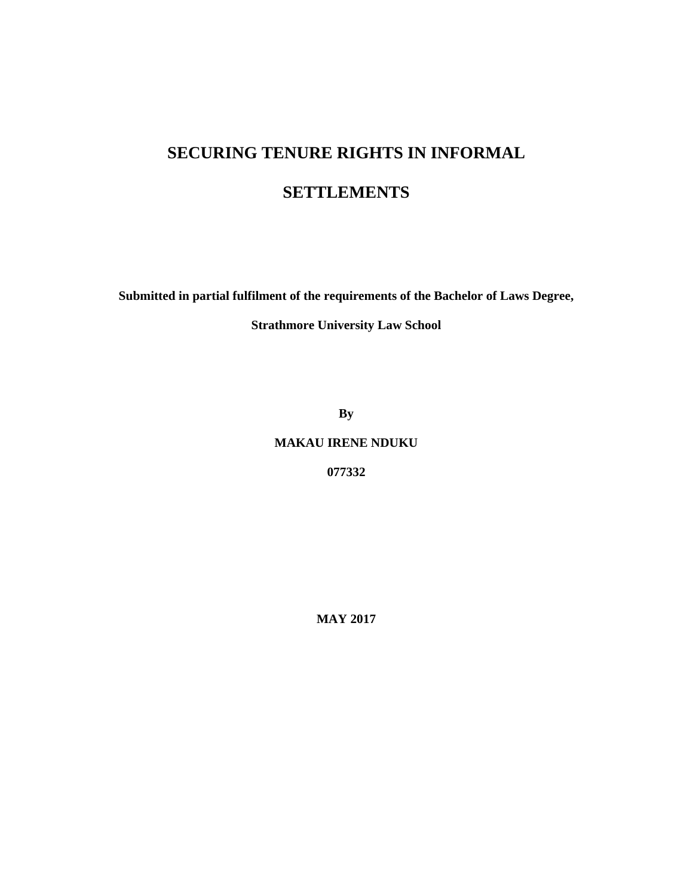# **SECURING TENURE RIGHTS IN INFORMAL**

## **SETTLEMENTS**

**Submitted in partial fulfilment of the requirements of the Bachelor of Laws Degree,** 

**Strathmore University Law School** 

**By** 

**MAKAU IRENE NDUKU** 

**077332** 

**MAY 2017**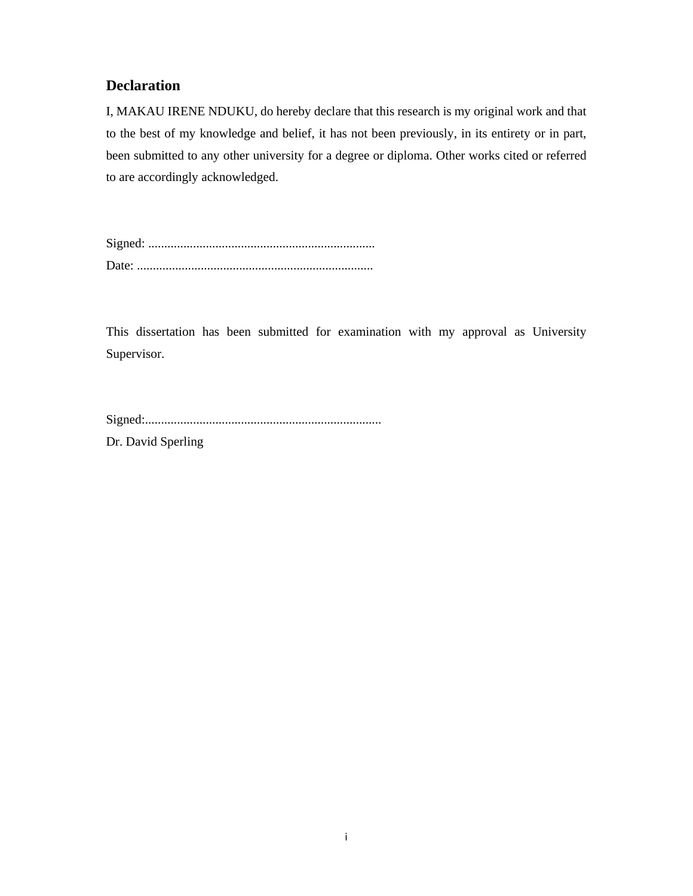## **Declaration**

I, MAKAU IRENE NDUKU, do hereby declare that this research is my original work and that to the best of my knowledge and belief, it has not been previously, in its entirety or in part, been submitted to any other university for a degree or diploma. Other works cited or referred to are accordingly acknowledged.

Signed: ....................................................................... Date: ..........................................................................

This dissertation has been submitted for examination with my approval as University Supervisor.

Dr. David Sperling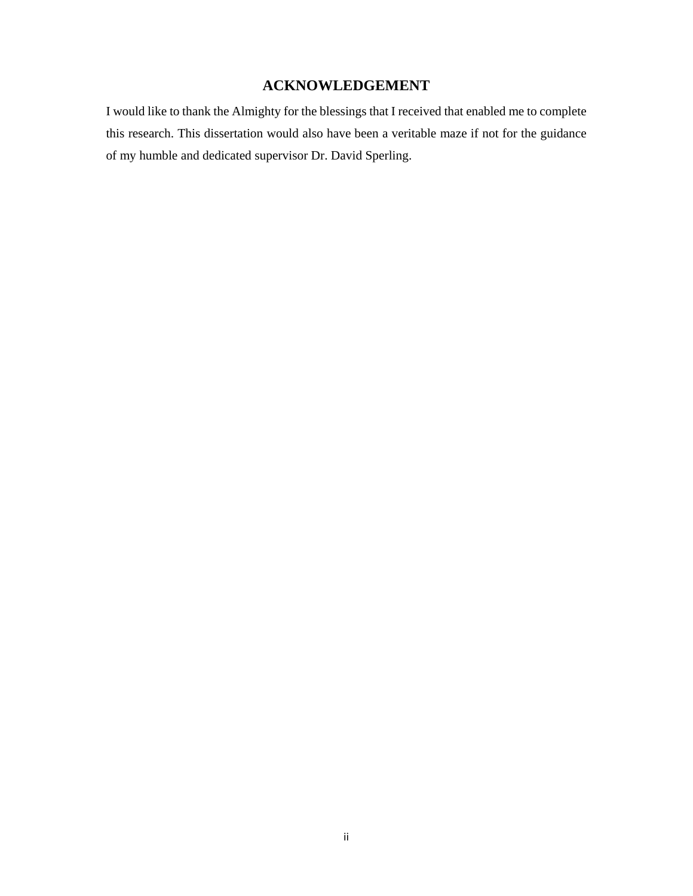## **ACKNOWLEDGEMENT**

I would like to thank the Almighty for the blessings that I received that enabled me to complete this research. This dissertation would also have been a veritable maze if not for the guidance of my humble and dedicated supervisor Dr. David Sperling.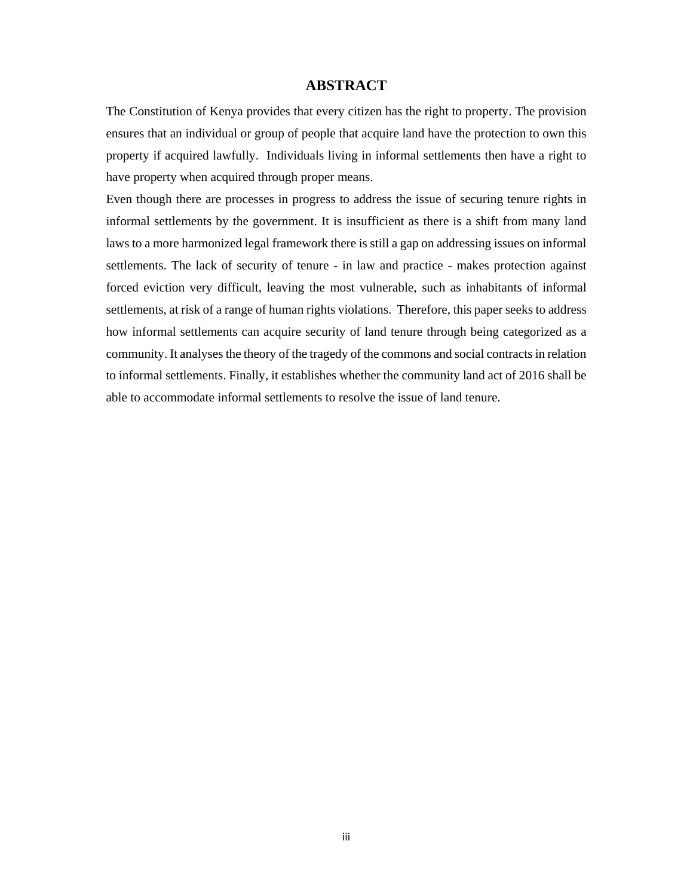## **ABSTRACT**

The Constitution of Kenya provides that every citizen has the right to property. The provision ensures that an individual or group of people that acquire land have the protection to own this property if acquired lawfully. Individuals living in informal settlements then have a right to have property when acquired through proper means.

Even though there are processes in progress to address the issue of securing tenure rights in informal settlements by the government. It is insufficient as there is a shift from many land laws to a more harmonized legal framework there is still a gap on addressing issues on informal settlements. The lack of security of tenure - in law and practice - makes protection against forced eviction very difficult, leaving the most vulnerable, such as inhabitants of informal settlements, at risk of a range of human rights violations. Therefore, this paper seeks to address how informal settlements can acquire security of land tenure through being categorized as a community. It analyses the theory of the tragedy of the commons and social contracts in relation to informal settlements. Finally, it establishes whether the community land act of 2016 shall be able to accommodate informal settlements to resolve the issue of land tenure.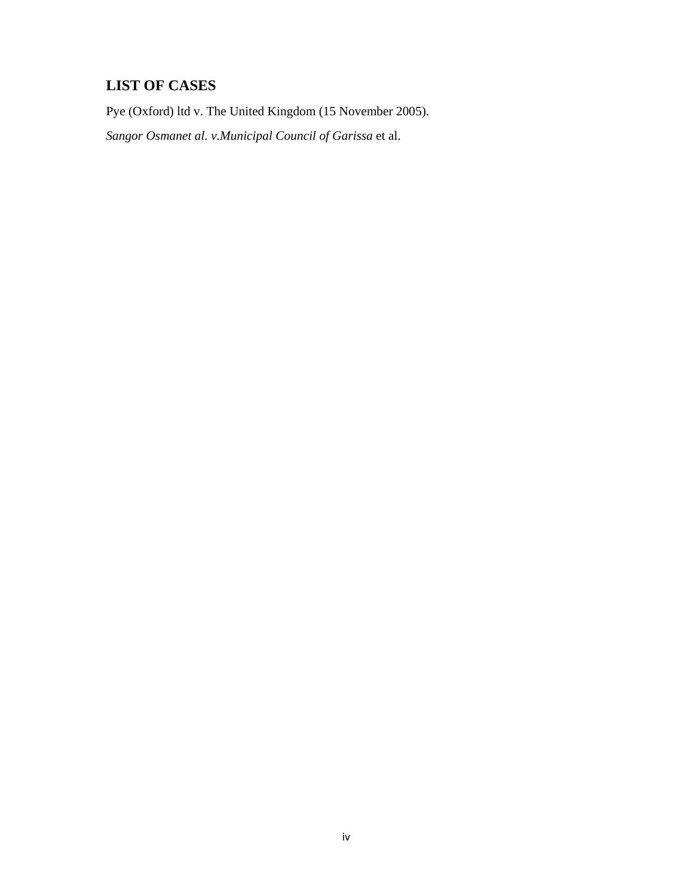## **LIST OF CASES**

Pye (Oxford) ltd v. The United Kingdom (15 November 2005).

*Sangor Osmanet al. v.Municipal Council of Garissa* et al.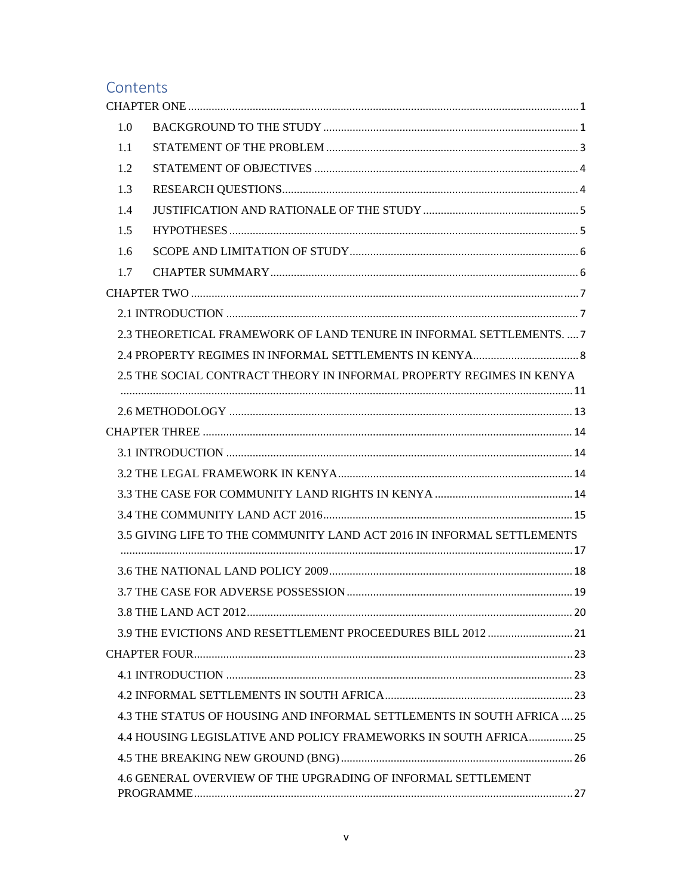## Contents

| 1.0 |                                                                        |
|-----|------------------------------------------------------------------------|
| 1.1 |                                                                        |
| 1.2 |                                                                        |
| 1.3 |                                                                        |
| 1.4 |                                                                        |
| 1.5 |                                                                        |
| 1.6 |                                                                        |
| 1.7 |                                                                        |
|     |                                                                        |
|     |                                                                        |
|     | 2.3 THEORETICAL FRAMEWORK OF LAND TENURE IN INFORMAL SETTLEMENTS.  7   |
|     |                                                                        |
|     | 2.5 THE SOCIAL CONTRACT THEORY IN INFORMAL PROPERTY REGIMES IN KENYA   |
|     |                                                                        |
|     |                                                                        |
|     |                                                                        |
|     |                                                                        |
|     |                                                                        |
|     |                                                                        |
|     |                                                                        |
|     | 3.5 GIVING LIFE TO THE COMMUNITY LAND ACT 2016 IN INFORMAL SETTLEMENTS |
|     |                                                                        |
|     |                                                                        |
|     |                                                                        |
|     |                                                                        |
|     | 3.9 THE EVICTIONS AND RESETTLEMENT PROCEEDURES BILL 2012  21           |
|     |                                                                        |
|     |                                                                        |
|     |                                                                        |
|     | 4.3 THE STATUS OF HOUSING AND INFORMAL SETTLEMENTS IN SOUTH AFRICA  25 |
|     | 4.4 HOUSING LEGISLATIVE AND POLICY FRAMEWORKS IN SOUTH AFRICA25        |
|     |                                                                        |
|     | 4.6 GENERAL OVERVIEW OF THE UPGRADING OF INFORMAL SETTLEMENT           |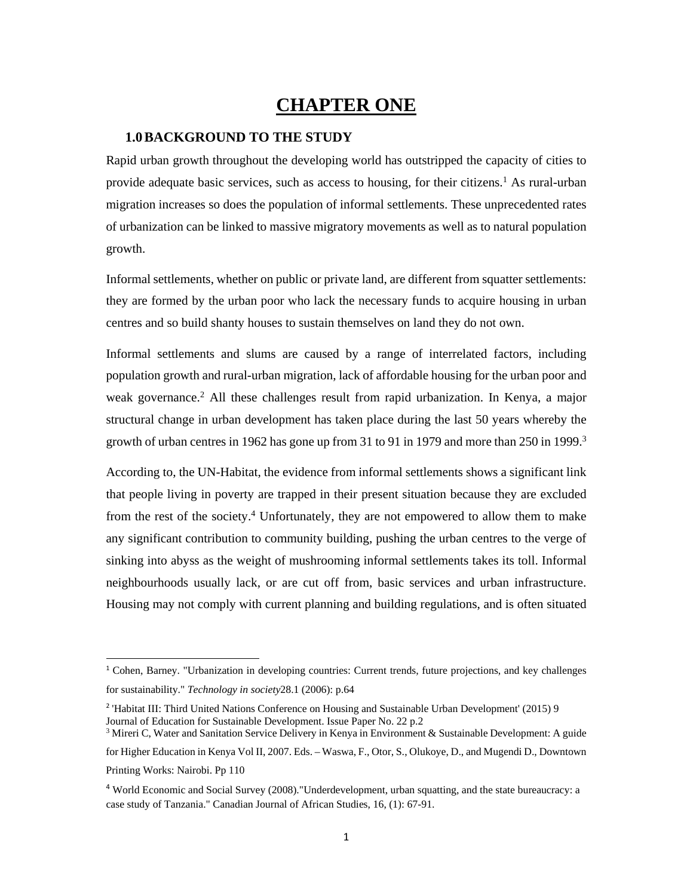## **CHAPTER ONE**

### **1.0BACKGROUND TO THE STUDY**

Rapid urban growth throughout the developing world has outstripped the capacity of cities to provide adequate basic services, such as access to housing, for their citizens.1 As rural-urban migration increases so does the population of informal settlements. These unprecedented rates of urbanization can be linked to massive migratory movements as well as to natural population growth.

Informal settlements, whether on public or private land, are different from squatter settlements: they are formed by the urban poor who lack the necessary funds to acquire housing in urban centres and so build shanty houses to sustain themselves on land they do not own.

Informal settlements and slums are caused by a range of interrelated factors, including population growth and rural-urban migration, lack of affordable housing for the urban poor and weak governance.<sup>2</sup> All these challenges result from rapid urbanization. In Kenya, a major structural change in urban development has taken place during the last 50 years whereby the growth of urban centres in 1962 has gone up from 31 to 91 in 1979 and more than  $250$  in 1999.<sup>3</sup>

According to, the UN-Habitat, the evidence from informal settlements shows a significant link that people living in poverty are trapped in their present situation because they are excluded from the rest of the society.<sup>4</sup> Unfortunately, they are not empowered to allow them to make any significant contribution to community building, pushing the urban centres to the verge of sinking into abyss as the weight of mushrooming informal settlements takes its toll. Informal neighbourhoods usually lack, or are cut off from, basic services and urban infrastructure. Housing may not comply with current planning and building regulations, and is often situated

<sup>1</sup> Cohen, Barney. "Urbanization in developing countries: Current trends, future projections, and key challenges for sustainability." *Technology in society*28.1 (2006): p.64

<sup>2</sup> 'Habitat III: Third United Nations Conference on Housing and Sustainable Urban Development' (2015) 9 Journal of Education for Sustainable Development. Issue Paper No. 22 p.2

<sup>&</sup>lt;sup>3</sup> Mireri C, Water and Sanitation Service Delivery in Kenya in Environment & Sustainable Development: A guide for Higher Education in Kenya Vol II, 2007. Eds. – Waswa, F., Otor, S., Olukoye, D., and Mugendi D., Downtown Printing Works: Nairobi. Pp 110

<sup>4</sup> World Economic and Social Survey (2008)."Underdevelopment, urban squatting, and the state bureaucracy: a case study of Tanzania." Canadian Journal of African Studies, 16, (1): 67-91.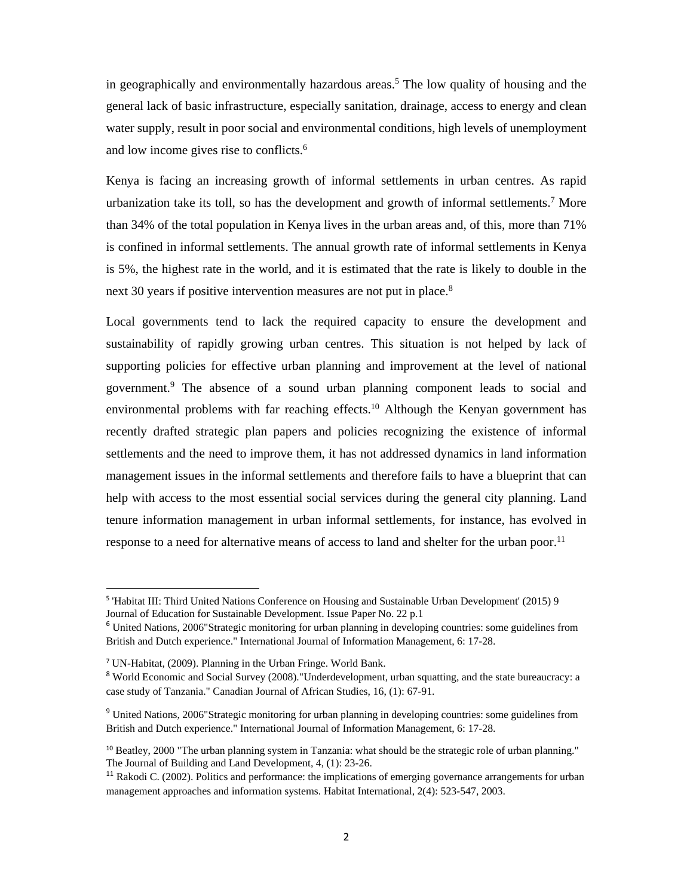in geographically and environmentally hazardous areas.<sup>5</sup> The low quality of housing and the general lack of basic infrastructure, especially sanitation, drainage, access to energy and clean water supply, result in poor social and environmental conditions, high levels of unemployment and low income gives rise to conflicts.6

Kenya is facing an increasing growth of informal settlements in urban centres. As rapid urbanization take its toll, so has the development and growth of informal settlements.7 More than 34% of the total population in Kenya lives in the urban areas and, of this, more than 71% is confined in informal settlements. The annual growth rate of informal settlements in Kenya is 5%, the highest rate in the world, and it is estimated that the rate is likely to double in the next 30 years if positive intervention measures are not put in place.<sup>8</sup>

Local governments tend to lack the required capacity to ensure the development and sustainability of rapidly growing urban centres. This situation is not helped by lack of supporting policies for effective urban planning and improvement at the level of national government.9 The absence of a sound urban planning component leads to social and environmental problems with far reaching effects.<sup>10</sup> Although the Kenyan government has recently drafted strategic plan papers and policies recognizing the existence of informal settlements and the need to improve them, it has not addressed dynamics in land information management issues in the informal settlements and therefore fails to have a blueprint that can help with access to the most essential social services during the general city planning. Land tenure information management in urban informal settlements, for instance, has evolved in response to a need for alternative means of access to land and shelter for the urban poor.<sup>11</sup>

<sup>5</sup> 'Habitat III: Third United Nations Conference on Housing and Sustainable Urban Development' (2015) 9 Journal of Education for Sustainable Development. Issue Paper No. 22 p.1

<sup>6</sup> United Nations, 2006"Strategic monitoring for urban planning in developing countries: some guidelines from British and Dutch experience." International Journal of Information Management, 6: 17-28.

<sup>7</sup> UN-Habitat, (2009). Planning in the Urban Fringe. World Bank.

<sup>8</sup> World Economic and Social Survey (2008)."Underdevelopment, urban squatting, and the state bureaucracy: a case study of Tanzania." Canadian Journal of African Studies, 16, (1): 67-91.

<sup>9</sup> United Nations, 2006"Strategic monitoring for urban planning in developing countries: some guidelines from British and Dutch experience." International Journal of Information Management, 6: 17-28.

<sup>&</sup>lt;sup>10</sup> Beatley, 2000 "The urban planning system in Tanzania: what should be the strategic role of urban planning." The Journal of Building and Land Development, 4, (1): 23-26.

<sup>&</sup>lt;sup>11</sup> Rakodi C. (2002). Politics and performance: the implications of emerging governance arrangements for urban management approaches and information systems. Habitat International, 2(4): 523-547, 2003.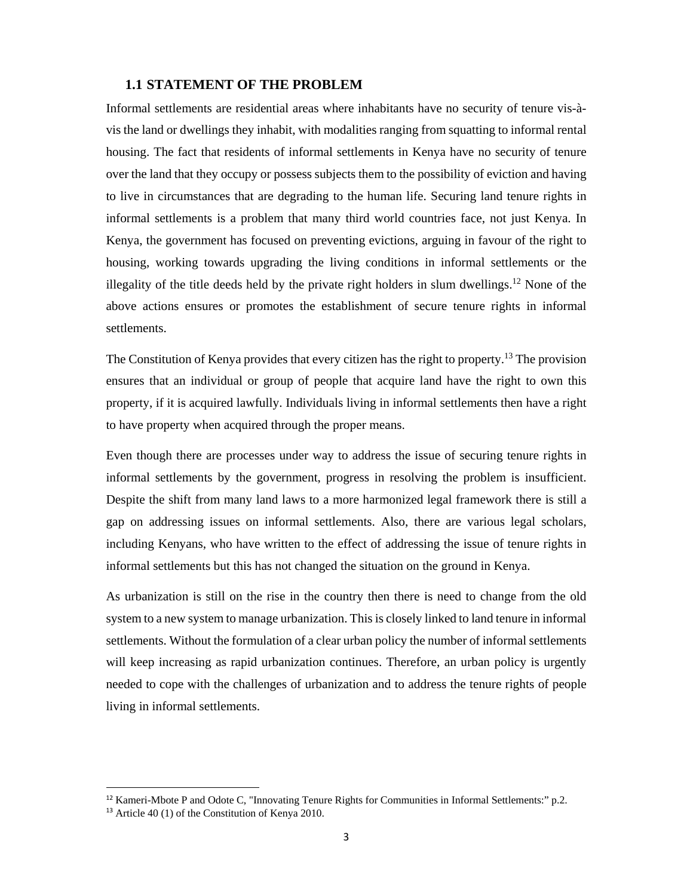### **1.1 STATEMENT OF THE PROBLEM**

Informal settlements are residential areas where inhabitants have no security of tenure vis-àvis the land or dwellings they inhabit, with modalities ranging from squatting to informal rental housing. The fact that residents of informal settlements in Kenya have no security of tenure over the land that they occupy or possess subjects them to the possibility of eviction and having to live in circumstances that are degrading to the human life. Securing land tenure rights in informal settlements is a problem that many third world countries face, not just Kenya. In Kenya, the government has focused on preventing evictions, arguing in favour of the right to housing, working towards upgrading the living conditions in informal settlements or the illegality of the title deeds held by the private right holders in slum dwellings.<sup>12</sup> None of the above actions ensures or promotes the establishment of secure tenure rights in informal settlements.

The Constitution of Kenya provides that every citizen has the right to property.13 The provision ensures that an individual or group of people that acquire land have the right to own this property, if it is acquired lawfully. Individuals living in informal settlements then have a right to have property when acquired through the proper means.

Even though there are processes under way to address the issue of securing tenure rights in informal settlements by the government, progress in resolving the problem is insufficient. Despite the shift from many land laws to a more harmonized legal framework there is still a gap on addressing issues on informal settlements. Also, there are various legal scholars, including Kenyans, who have written to the effect of addressing the issue of tenure rights in informal settlements but this has not changed the situation on the ground in Kenya.

As urbanization is still on the rise in the country then there is need to change from the old system to a new system to manage urbanization. This is closely linked to land tenure in informal settlements. Without the formulation of a clear urban policy the number of informal settlements will keep increasing as rapid urbanization continues. Therefore, an urban policy is urgently needed to cope with the challenges of urbanization and to address the tenure rights of people living in informal settlements.

<sup>12</sup> Kameri-Mbote P and Odote C, "Innovating Tenure Rights for Communities in Informal Settlements:" p.2.

<sup>13</sup> Article 40 (1) of the Constitution of Kenya 2010.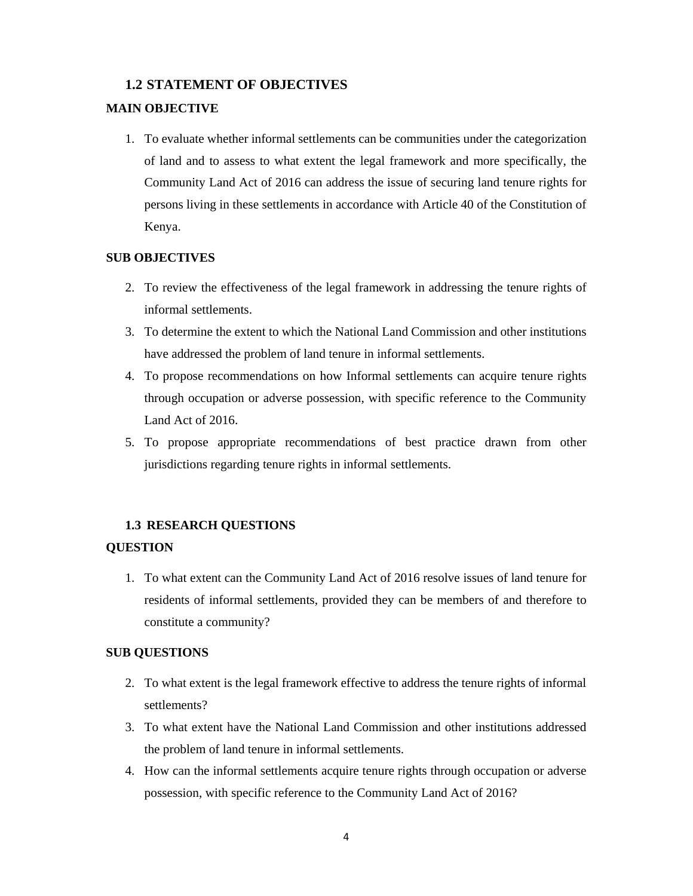## **1.2 STATEMENT OF OBJECTIVES**

## **MAIN OBJECTIVE**

1. To evaluate whether informal settlements can be communities under the categorization of land and to assess to what extent the legal framework and more specifically, the Community Land Act of 2016 can address the issue of securing land tenure rights for persons living in these settlements in accordance with Article 40 of the Constitution of Kenya.

#### **SUB OBJECTIVES**

- 2. To review the effectiveness of the legal framework in addressing the tenure rights of informal settlements.
- 3. To determine the extent to which the National Land Commission and other institutions have addressed the problem of land tenure in informal settlements.
- 4. To propose recommendations on how Informal settlements can acquire tenure rights through occupation or adverse possession, with specific reference to the Community Land Act of 2016.
- 5. To propose appropriate recommendations of best practice drawn from other jurisdictions regarding tenure rights in informal settlements.

### **1.3 RESEARCH QUESTIONS**

#### **QUESTION**

1. To what extent can the Community Land Act of 2016 resolve issues of land tenure for residents of informal settlements, provided they can be members of and therefore to constitute a community?

### **SUB QUESTIONS**

- 2. To what extent is the legal framework effective to address the tenure rights of informal settlements?
- 3. To what extent have the National Land Commission and other institutions addressed the problem of land tenure in informal settlements.
- 4. How can the informal settlements acquire tenure rights through occupation or adverse possession, with specific reference to the Community Land Act of 2016?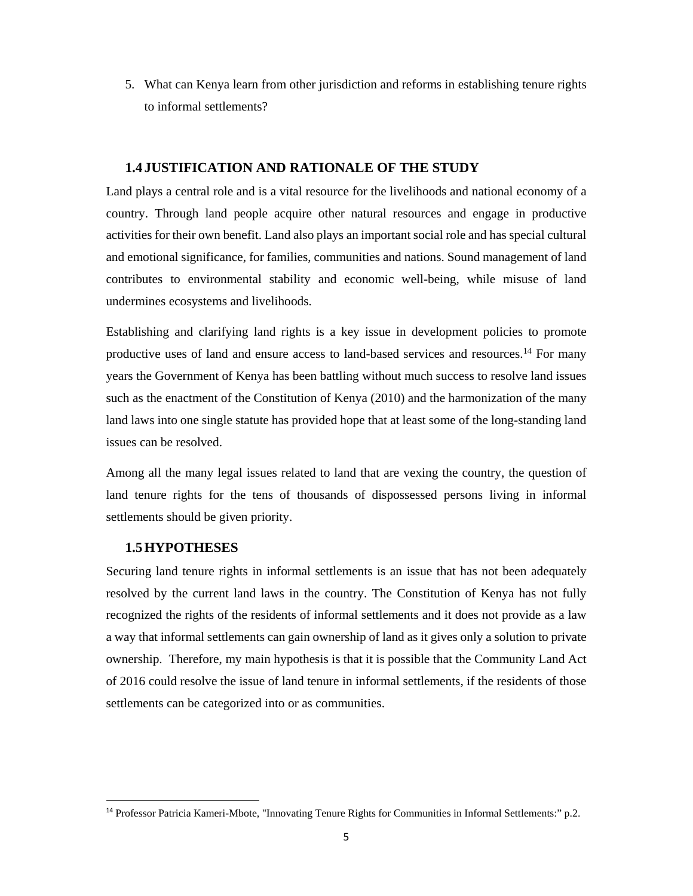5. What can Kenya learn from other jurisdiction and reforms in establishing tenure rights to informal settlements?

### **1.4 JUSTIFICATION AND RATIONALE OF THE STUDY**

Land plays a central role and is a vital resource for the livelihoods and national economy of a country. Through land people acquire other natural resources and engage in productive activities for their own benefit. Land also plays an important social role and has special cultural and emotional significance, for families, communities and nations. Sound management of land contributes to environmental stability and economic well-being, while misuse of land undermines ecosystems and livelihoods.

Establishing and clarifying land rights is a key issue in development policies to promote productive uses of land and ensure access to land-based services and resources.14 For many years the Government of Kenya has been battling without much success to resolve land issues such as the enactment of the Constitution of Kenya (2010) and the harmonization of the many land laws into one single statute has provided hope that at least some of the long-standing land issues can be resolved.

Among all the many legal issues related to land that are vexing the country, the question of land tenure rights for the tens of thousands of dispossessed persons living in informal settlements should be given priority.

## **1.5HYPOTHESES**

Securing land tenure rights in informal settlements is an issue that has not been adequately resolved by the current land laws in the country. The Constitution of Kenya has not fully recognized the rights of the residents of informal settlements and it does not provide as a law a way that informal settlements can gain ownership of land as it gives only a solution to private ownership. Therefore, my main hypothesis is that it is possible that the Community Land Act of 2016 could resolve the issue of land tenure in informal settlements, if the residents of those settlements can be categorized into or as communities.

<sup>14</sup> Professor Patricia Kameri-Mbote, "Innovating Tenure Rights for Communities in Informal Settlements:" p.2.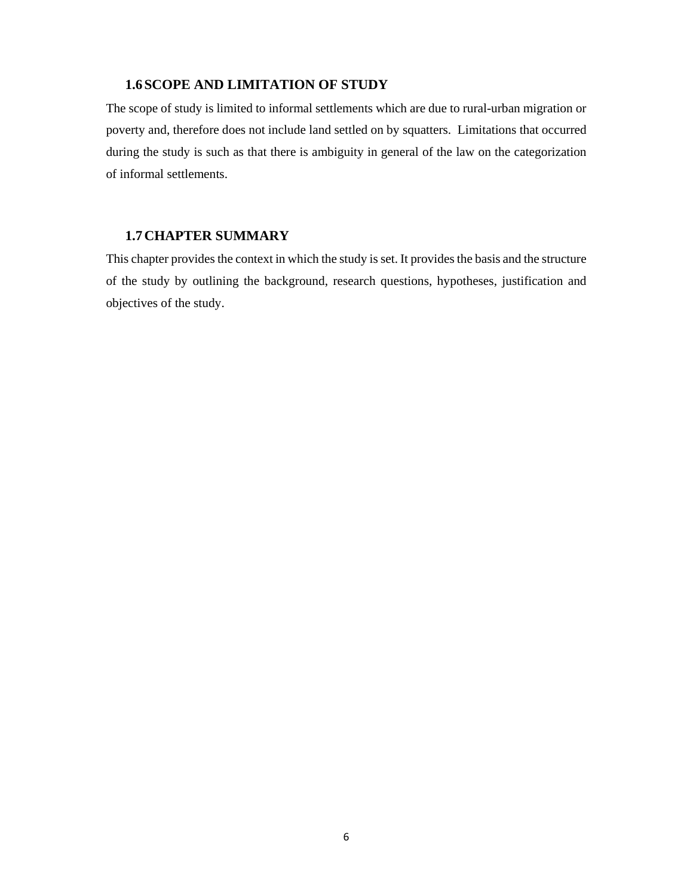## **1.6SCOPE AND LIMITATION OF STUDY**

The scope of study is limited to informal settlements which are due to rural-urban migration or poverty and, therefore does not include land settled on by squatters. Limitations that occurred during the study is such as that there is ambiguity in general of the law on the categorization of informal settlements.

## **1.7CHAPTER SUMMARY**

This chapter provides the context in which the study is set. It provides the basis and the structure of the study by outlining the background, research questions, hypotheses, justification and objectives of the study.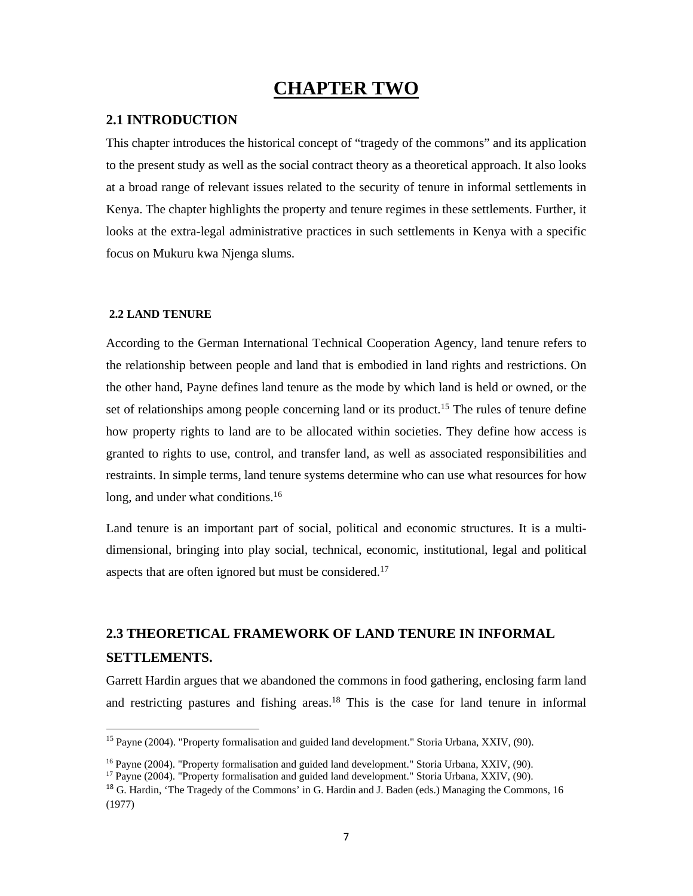## **CHAPTER TWO**

### **2.1 INTRODUCTION**

This chapter introduces the historical concept of "tragedy of the commons" and its application to the present study as well as the social contract theory as a theoretical approach. It also looks at a broad range of relevant issues related to the security of tenure in informal settlements in Kenya. The chapter highlights the property and tenure regimes in these settlements. Further, it looks at the extra-legal administrative practices in such settlements in Kenya with a specific focus on Mukuru kwa Njenga slums.

#### **2.2 LAND TENURE**

According to the German International Technical Cooperation Agency, land tenure refers to the relationship between people and land that is embodied in land rights and restrictions. On the other hand, Payne defines land tenure as the mode by which land is held or owned, or the set of relationships among people concerning land or its product.<sup>15</sup> The rules of tenure define how property rights to land are to be allocated within societies. They define how access is granted to rights to use, control, and transfer land, as well as associated responsibilities and restraints. In simple terms, land tenure systems determine who can use what resources for how long, and under what conditions.<sup>16</sup>

Land tenure is an important part of social, political and economic structures. It is a multidimensional, bringing into play social, technical, economic, institutional, legal and political aspects that are often ignored but must be considered.<sup>17</sup>

# **2.3 THEORETICAL FRAMEWORK OF LAND TENURE IN INFORMAL SETTLEMENTS.**

Garrett Hardin argues that we abandoned the commons in food gathering, enclosing farm land and restricting pastures and fishing areas.<sup>18</sup> This is the case for land tenure in informal

<sup>&</sup>lt;sup>15</sup> Payne (2004). "Property formalisation and guided land development." Storia Urbana, XXIV, (90).

<sup>&</sup>lt;sup>16</sup> Payne (2004). "Property formalisation and guided land development." Storia Urbana, XXIV, (90). <sup>17</sup> Payne (2004). "Property formalisation and guided land development." Storia Urbana, XXIV, (90).

<sup>&</sup>lt;sup>18</sup> G. Hardin, 'The Tragedy of the Commons' in G. Hardin and J. Baden (eds.) Managing the Commons, 16 (1977)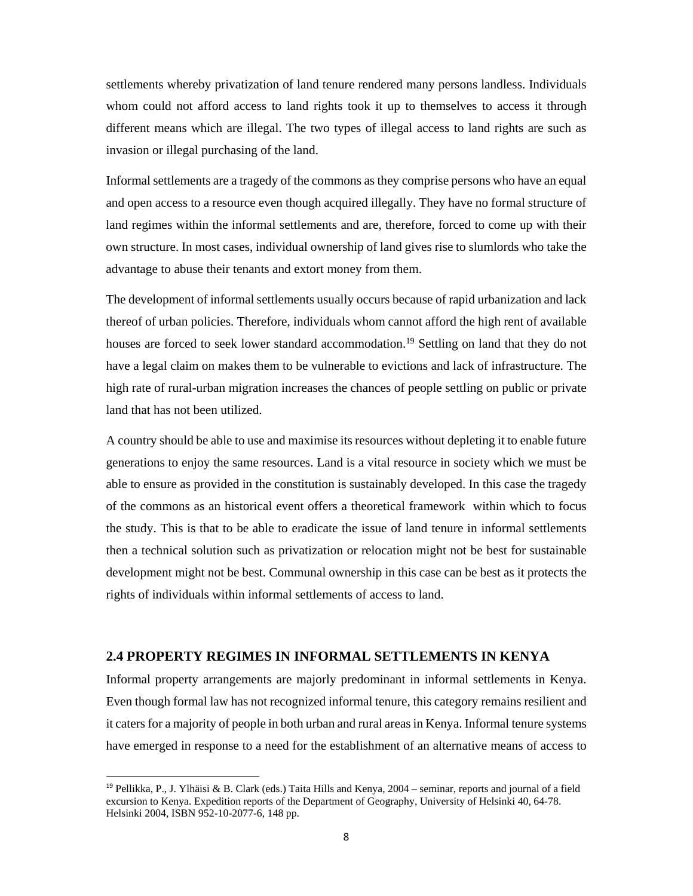settlements whereby privatization of land tenure rendered many persons landless. Individuals whom could not afford access to land rights took it up to themselves to access it through different means which are illegal. The two types of illegal access to land rights are such as invasion or illegal purchasing of the land.

Informal settlements are a tragedy of the commons as they comprise persons who have an equal and open access to a resource even though acquired illegally. They have no formal structure of land regimes within the informal settlements and are, therefore, forced to come up with their own structure. In most cases, individual ownership of land gives rise to slumlords who take the advantage to abuse their tenants and extort money from them.

The development of informal settlements usually occurs because of rapid urbanization and lack thereof of urban policies. Therefore, individuals whom cannot afford the high rent of available houses are forced to seek lower standard accommodation.<sup>19</sup> Settling on land that they do not have a legal claim on makes them to be vulnerable to evictions and lack of infrastructure. The high rate of rural-urban migration increases the chances of people settling on public or private land that has not been utilized.

A country should be able to use and maximise its resources without depleting it to enable future generations to enjoy the same resources. Land is a vital resource in society which we must be able to ensure as provided in the constitution is sustainably developed. In this case the tragedy of the commons as an historical event offers a theoretical framework within which to focus the study. This is that to be able to eradicate the issue of land tenure in informal settlements then a technical solution such as privatization or relocation might not be best for sustainable development might not be best. Communal ownership in this case can be best as it protects the rights of individuals within informal settlements of access to land.

### **2.4 PROPERTY REGIMES IN INFORMAL SETTLEMENTS IN KENYA**

Informal property arrangements are majorly predominant in informal settlements in Kenya. Even though formal law has not recognized informal tenure, this category remains resilient and it caters for a majority of people in both urban and rural areas in Kenya. Informal tenure systems have emerged in response to a need for the establishment of an alternative means of access to

<sup>&</sup>lt;sup>19</sup> Pellikka, P., J. Ylhäisi & B. Clark (eds.) Taita Hills and Kenya, 2004 – seminar, reports and journal of a field excursion to Kenya. Expedition reports of the Department of Geography, University of Helsinki 40, 64-78. Helsinki 2004, ISBN 952-10-2077-6, 148 pp.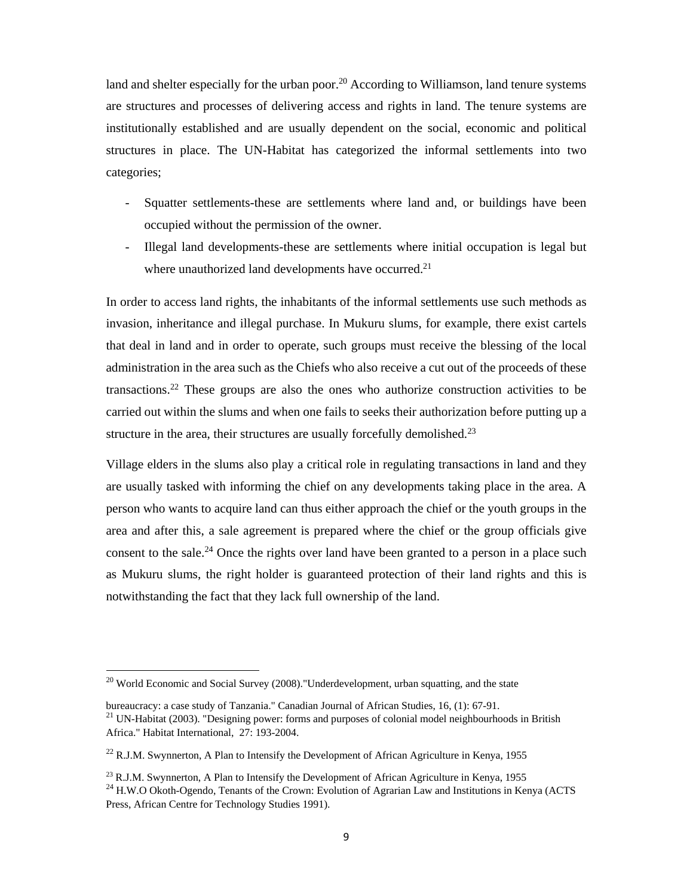land and shelter especially for the urban poor.<sup>20</sup> According to Williamson, land tenure systems are structures and processes of delivering access and rights in land. The tenure systems are institutionally established and are usually dependent on the social, economic and political structures in place. The UN-Habitat has categorized the informal settlements into two categories;

- Squatter settlements-these are settlements where land and, or buildings have been occupied without the permission of the owner.
- Illegal land developments-these are settlements where initial occupation is legal but where unauthorized land developments have occurred.<sup>21</sup>

In order to access land rights, the inhabitants of the informal settlements use such methods as invasion, inheritance and illegal purchase. In Mukuru slums, for example, there exist cartels that deal in land and in order to operate, such groups must receive the blessing of the local administration in the area such as the Chiefs who also receive a cut out of the proceeds of these transactions.<sup>22</sup> These groups are also the ones who authorize construction activities to be carried out within the slums and when one fails to seeks their authorization before putting up a structure in the area, their structures are usually forcefully demolished.<sup>23</sup>

Village elders in the slums also play a critical role in regulating transactions in land and they are usually tasked with informing the chief on any developments taking place in the area. A person who wants to acquire land can thus either approach the chief or the youth groups in the area and after this, a sale agreement is prepared where the chief or the group officials give consent to the sale.<sup>24</sup> Once the rights over land have been granted to a person in a place such as Mukuru slums, the right holder is guaranteed protection of their land rights and this is notwithstanding the fact that they lack full ownership of the land.

<sup>&</sup>lt;sup>20</sup> World Economic and Social Survey (2008)."Underdevelopment, urban squatting, and the state

bureaucracy: a case study of Tanzania." Canadian Journal of African Studies, 16, (1): 67-91.<br><sup>21</sup> UN-Habitat (2003). "Designing power: forms and purposes of colonial model neighbourhoods in British

Africa." Habitat International, 27: 193-2004.

<sup>&</sup>lt;sup>22</sup> R.J.M. Swynnerton, A Plan to Intensify the Development of African Agriculture in Kenya, 1955

<sup>&</sup>lt;sup>23</sup> R.J.M. Swynnerton, A Plan to Intensify the Development of African Agriculture in Kenya, 1955 <sup>24</sup> H.W.O Okoth-Ogendo, Tenants of the Crown: Evolution of Agrarian Law and Institutions in Kenya (ACTS Press, African Centre for Technology Studies 1991).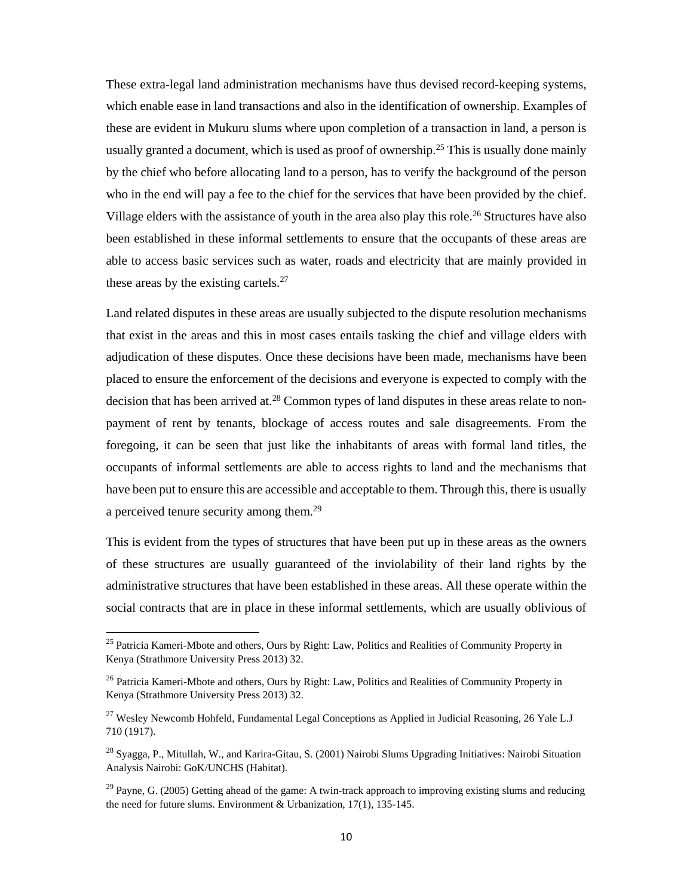These extra-legal land administration mechanisms have thus devised record-keeping systems, which enable ease in land transactions and also in the identification of ownership. Examples of these are evident in Mukuru slums where upon completion of a transaction in land, a person is usually granted a document, which is used as proof of ownership.<sup>25</sup> This is usually done mainly by the chief who before allocating land to a person, has to verify the background of the person who in the end will pay a fee to the chief for the services that have been provided by the chief. Village elders with the assistance of youth in the area also play this role.<sup>26</sup> Structures have also been established in these informal settlements to ensure that the occupants of these areas are able to access basic services such as water, roads and electricity that are mainly provided in these areas by the existing cartels. $27$ 

Land related disputes in these areas are usually subjected to the dispute resolution mechanisms that exist in the areas and this in most cases entails tasking the chief and village elders with adjudication of these disputes. Once these decisions have been made, mechanisms have been placed to ensure the enforcement of the decisions and everyone is expected to comply with the decision that has been arrived at.<sup>28</sup> Common types of land disputes in these areas relate to nonpayment of rent by tenants, blockage of access routes and sale disagreements. From the foregoing, it can be seen that just like the inhabitants of areas with formal land titles, the occupants of informal settlements are able to access rights to land and the mechanisms that have been put to ensure this are accessible and acceptable to them. Through this, there is usually a perceived tenure security among them.<sup>29</sup>

This is evident from the types of structures that have been put up in these areas as the owners of these structures are usually guaranteed of the inviolability of their land rights by the administrative structures that have been established in these areas. All these operate within the social contracts that are in place in these informal settlements, which are usually oblivious of

<sup>&</sup>lt;sup>25</sup> Patricia Kameri-Mbote and others, Ours by Right: Law, Politics and Realities of Community Property in Kenya (Strathmore University Press 2013) 32.

<sup>&</sup>lt;sup>26</sup> Patricia Kameri-Mbote and others, Ours by Right: Law, Politics and Realities of Community Property in Kenya (Strathmore University Press 2013) 32.

<sup>&</sup>lt;sup>27</sup> Wesley Newcomb Hohfeld, Fundamental Legal Conceptions as Applied in Judicial Reasoning, 26 Yale L.J 710 (1917).

<sup>&</sup>lt;sup>28</sup> Syagga, P., Mitullah, W., and Karira-Gitau, S. (2001) Nairobi Slums Upgrading Initiatives: Nairobi Situation Analysis Nairobi: GoK/UNCHS (Habitat).

 $^{29}$  Payne, G. (2005) Getting ahead of the game: A twin-track approach to improving existing slums and reducing the need for future slums. Environment & Urbanization, 17(1), 135-145.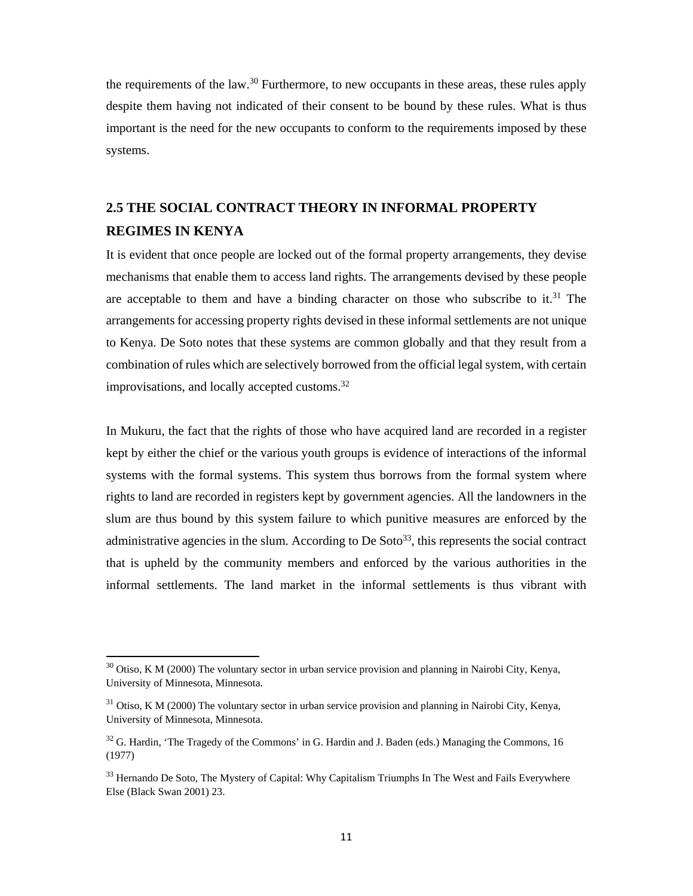the requirements of the law.<sup>30</sup> Furthermore, to new occupants in these areas, these rules apply despite them having not indicated of their consent to be bound by these rules. What is thus important is the need for the new occupants to conform to the requirements imposed by these systems.

## **2.5 THE SOCIAL CONTRACT THEORY IN INFORMAL PROPERTY REGIMES IN KENYA**

It is evident that once people are locked out of the formal property arrangements, they devise mechanisms that enable them to access land rights. The arrangements devised by these people are acceptable to them and have a binding character on those who subscribe to it.<sup>31</sup> The arrangements for accessing property rights devised in these informal settlements are not unique to Kenya. De Soto notes that these systems are common globally and that they result from a combination of rules which are selectively borrowed from the official legal system, with certain improvisations, and locally accepted customs.32

In Mukuru, the fact that the rights of those who have acquired land are recorded in a register kept by either the chief or the various youth groups is evidence of interactions of the informal systems with the formal systems. This system thus borrows from the formal system where rights to land are recorded in registers kept by government agencies. All the landowners in the slum are thus bound by this system failure to which punitive measures are enforced by the administrative agencies in the slum. According to De Soto $33$ , this represents the social contract that is upheld by the community members and enforced by the various authorities in the informal settlements. The land market in the informal settlements is thus vibrant with

 $30$  Otiso, K M (2000) The voluntary sector in urban service provision and planning in Nairobi City, Kenya, University of Minnesota, Minnesota.

 $31$  Otiso, K M (2000) The voluntary sector in urban service provision and planning in Nairobi City, Kenya, University of Minnesota, Minnesota.

 $32$  G. Hardin, 'The Tragedy of the Commons' in G. Hardin and J. Baden (eds.) Managing the Commons, 16 (1977)

<sup>&</sup>lt;sup>33</sup> Hernando De Soto, The Mystery of Capital: Why Capitalism Triumphs In The West and Fails Everywhere Else (Black Swan 2001) 23.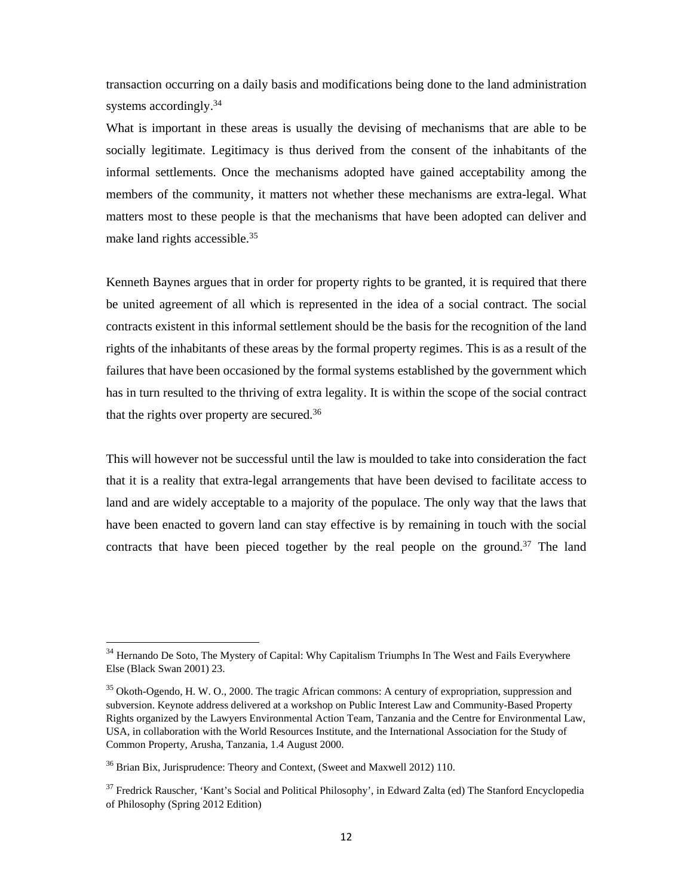transaction occurring on a daily basis and modifications being done to the land administration systems accordingly.<sup>34</sup>

What is important in these areas is usually the devising of mechanisms that are able to be socially legitimate. Legitimacy is thus derived from the consent of the inhabitants of the informal settlements. Once the mechanisms adopted have gained acceptability among the members of the community, it matters not whether these mechanisms are extra-legal. What matters most to these people is that the mechanisms that have been adopted can deliver and make land rights accessible.<sup>35</sup>

Kenneth Baynes argues that in order for property rights to be granted, it is required that there be united agreement of all which is represented in the idea of a social contract. The social contracts existent in this informal settlement should be the basis for the recognition of the land rights of the inhabitants of these areas by the formal property regimes. This is as a result of the failures that have been occasioned by the formal systems established by the government which has in turn resulted to the thriving of extra legality. It is within the scope of the social contract that the rights over property are secured.<sup>36</sup>

This will however not be successful until the law is moulded to take into consideration the fact that it is a reality that extra-legal arrangements that have been devised to facilitate access to land and are widely acceptable to a majority of the populace. The only way that the laws that have been enacted to govern land can stay effective is by remaining in touch with the social contracts that have been pieced together by the real people on the ground.<sup>37</sup> The land

<sup>&</sup>lt;sup>34</sup> Hernando De Soto, The Mystery of Capital: Why Capitalism Triumphs In The West and Fails Everywhere Else (Black Swan 2001) 23.

<sup>&</sup>lt;sup>35</sup> Okoth-Ogendo, H. W. O., 2000. The tragic African commons: A century of expropriation, suppression and subversion. Keynote address delivered at a workshop on Public Interest Law and Community-Based Property Rights organized by the Lawyers Environmental Action Team, Tanzania and the Centre for Environmental Law, USA, in collaboration with the World Resources Institute, and the International Association for the Study of Common Property, Arusha, Tanzania, 1.4 August 2000.

<sup>&</sup>lt;sup>36</sup> Brian Bix, Jurisprudence: Theory and Context, (Sweet and Maxwell 2012) 110.

<sup>&</sup>lt;sup>37</sup> Fredrick Rauscher, 'Kant's Social and Political Philosophy', in Edward Zalta (ed) The Stanford Encyclopedia of Philosophy (Spring 2012 Edition)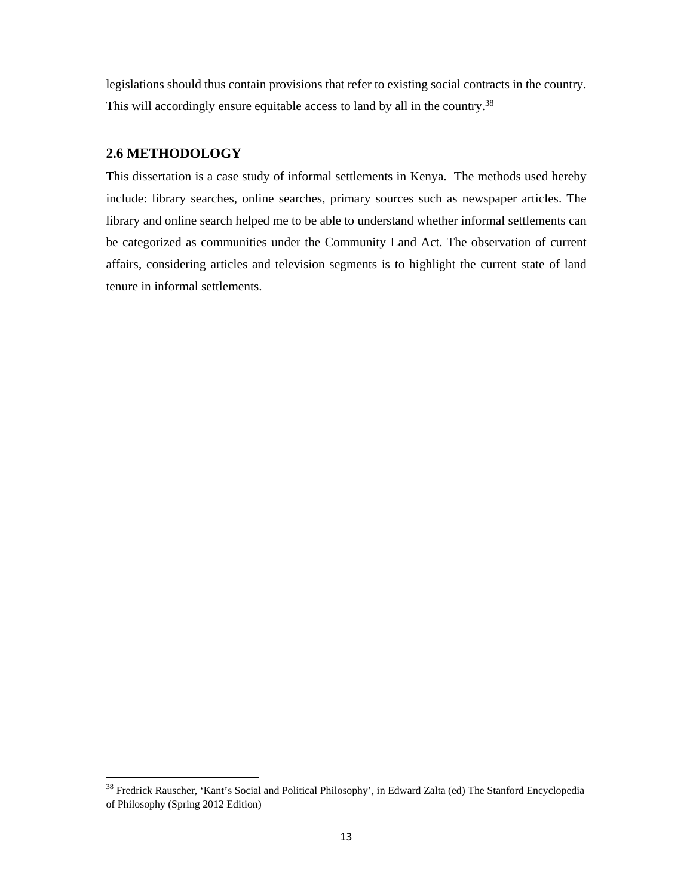legislations should thus contain provisions that refer to existing social contracts in the country. This will accordingly ensure equitable access to land by all in the country.<sup>38</sup>

#### **2.6 METHODOLOGY**

This dissertation is a case study of informal settlements in Kenya. The methods used hereby include: library searches, online searches, primary sources such as newspaper articles. The library and online search helped me to be able to understand whether informal settlements can be categorized as communities under the Community Land Act. The observation of current affairs, considering articles and television segments is to highlight the current state of land tenure in informal settlements.

<sup>&</sup>lt;sup>38</sup> Fredrick Rauscher, 'Kant's Social and Political Philosophy', in Edward Zalta (ed) The Stanford Encyclopedia of Philosophy (Spring 2012 Edition)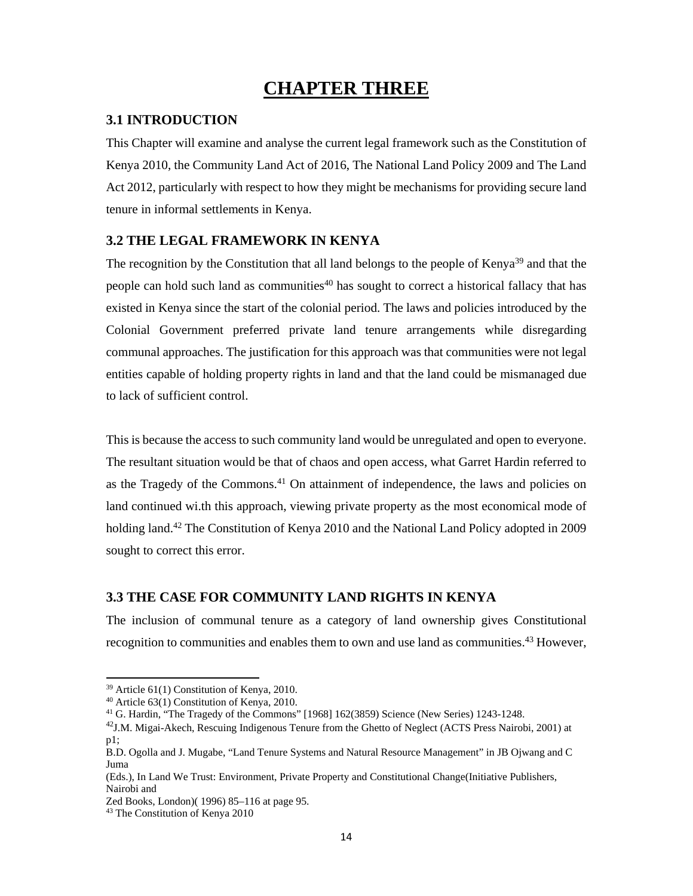# **CHAPTER THREE**

## **3.1 INTRODUCTION**

This Chapter will examine and analyse the current legal framework such as the Constitution of Kenya 2010, the Community Land Act of 2016, The National Land Policy 2009 and The Land Act 2012, particularly with respect to how they might be mechanisms for providing secure land tenure in informal settlements in Kenya.

## **3.2 THE LEGAL FRAMEWORK IN KENYA**

The recognition by the Constitution that all land belongs to the people of Kenya<sup>39</sup> and that the people can hold such land as communities<sup>40</sup> has sought to correct a historical fallacy that has existed in Kenya since the start of the colonial period. The laws and policies introduced by the Colonial Government preferred private land tenure arrangements while disregarding communal approaches. The justification for this approach was that communities were not legal entities capable of holding property rights in land and that the land could be mismanaged due to lack of sufficient control.

This is because the access to such community land would be unregulated and open to everyone. The resultant situation would be that of chaos and open access, what Garret Hardin referred to as the Tragedy of the Commons.<sup>41</sup> On attainment of independence, the laws and policies on land continued wi.th this approach, viewing private property as the most economical mode of holding land.<sup>42</sup> The Constitution of Kenya 2010 and the National Land Policy adopted in 2009 sought to correct this error.

## **3.3 THE CASE FOR COMMUNITY LAND RIGHTS IN KENYA**

The inclusion of communal tenure as a category of land ownership gives Constitutional recognition to communities and enables them to own and use land as communities.43 However,

<sup>39</sup> Article 61(1) Constitution of Kenya, 2010.

<sup>40</sup> Article 63(1) Constitution of Kenya, 2010.

<sup>41</sup> G. Hardin, "The Tragedy of the Commons" [1968] 162(3859) Science (New Series) 1243-1248.

<sup>&</sup>lt;sup>42</sup>J.M. Migai-Akech, Rescuing Indigenous Tenure from the Ghetto of Neglect (ACTS Press Nairobi, 2001) at p1;

B.D. Ogolla and J. Mugabe, "Land Tenure Systems and Natural Resource Management" in JB Ojwang and C Juma

<sup>(</sup>Eds.), In Land We Trust: Environment, Private Property and Constitutional Change(Initiative Publishers, Nairobi and

Zed Books, London)( 1996) 85–116 at page 95.

<sup>43</sup> The Constitution of Kenya 2010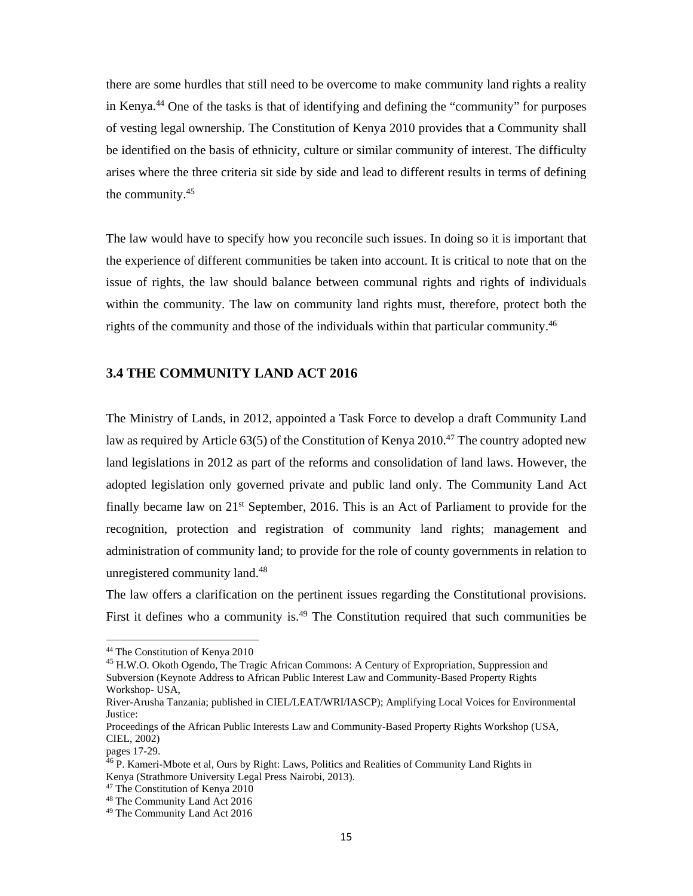there are some hurdles that still need to be overcome to make community land rights a reality in Kenya.44 One of the tasks is that of identifying and defining the "community" for purposes of vesting legal ownership. The Constitution of Kenya 2010 provides that a Community shall be identified on the basis of ethnicity, culture or similar community of interest. The difficulty arises where the three criteria sit side by side and lead to different results in terms of defining the community.45

The law would have to specify how you reconcile such issues. In doing so it is important that the experience of different communities be taken into account. It is critical to note that on the issue of rights, the law should balance between communal rights and rights of individuals within the community. The law on community land rights must, therefore, protect both the rights of the community and those of the individuals within that particular community.<sup>46</sup>

### **3.4 THE COMMUNITY LAND ACT 2016**

The Ministry of Lands, in 2012, appointed a Task Force to develop a draft Community Land law as required by Article  $63(5)$  of the Constitution of Kenya 2010.<sup>47</sup> The country adopted new land legislations in 2012 as part of the reforms and consolidation of land laws. However, the adopted legislation only governed private and public land only. The Community Land Act finally became law on  $21<sup>st</sup>$  September, 2016. This is an Act of Parliament to provide for the recognition, protection and registration of community land rights; management and administration of community land; to provide for the role of county governments in relation to unregistered community land.48

The law offers a clarification on the pertinent issues regarding the Constitutional provisions. First it defines who a community is.<sup>49</sup> The Constitution required that such communities be

<sup>45</sup> H.W.O. Okoth Ogendo, The Tragic African Commons: A Century of Expropriation, Suppression and Subversion (Keynote Address to African Public Interest Law and Community-Based Property Rights Workshop- USA,

 44 The Constitution of Kenya 2010

River-Arusha Tanzania; published in CIEL/LEAT/WRI/IASCP); Amplifying Local Voices for Environmental Justice:

Proceedings of the African Public Interests Law and Community-Based Property Rights Workshop (USA, CIEL, 2002)

pages 17-29.

<sup>&</sup>lt;sup>46</sup> P. Kameri-Mbote et al, Ours by Right: Laws, Politics and Realities of Community Land Rights in Kenya (Strathmore University Legal Press Nairobi, 2013).

<sup>47</sup> The Constitution of Kenya 2010

<sup>48</sup> The Community Land Act 2016

<sup>49</sup> The Community Land Act 2016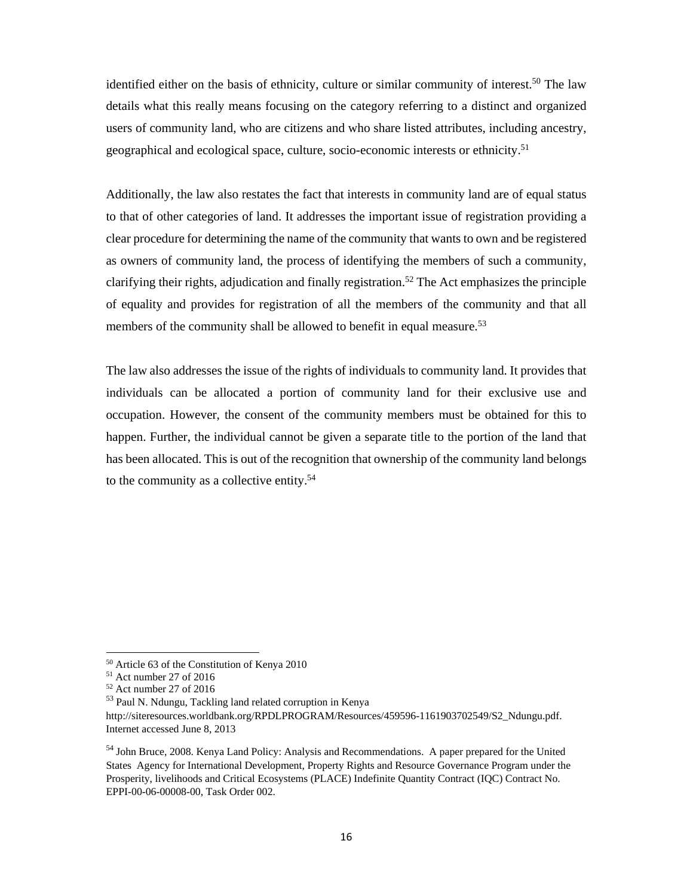identified either on the basis of ethnicity, culture or similar community of interest.<sup>50</sup> The law details what this really means focusing on the category referring to a distinct and organized users of community land, who are citizens and who share listed attributes, including ancestry, geographical and ecological space, culture, socio-economic interests or ethnicity.51

Additionally, the law also restates the fact that interests in community land are of equal status to that of other categories of land. It addresses the important issue of registration providing a clear procedure for determining the name of the community that wants to own and be registered as owners of community land, the process of identifying the members of such a community, clarifying their rights, adjudication and finally registration.<sup>52</sup> The Act emphasizes the principle of equality and provides for registration of all the members of the community and that all members of the community shall be allowed to benefit in equal measure.<sup>53</sup>

The law also addresses the issue of the rights of individuals to community land. It provides that individuals can be allocated a portion of community land for their exclusive use and occupation. However, the consent of the community members must be obtained for this to happen. Further, the individual cannot be given a separate title to the portion of the land that has been allocated. This is out of the recognition that ownership of the community land belongs to the community as a collective entity.54

<sup>50</sup> Article 63 of the Constitution of Kenya 2010

<sup>51</sup> Act number 27 of 2016

<sup>52</sup> Act number 27 of 2016

<sup>53</sup> Paul N. Ndungu, Tackling land related corruption in Kenya

http://siteresources.worldbank.org/RPDLPROGRAM/Resources/459596-1161903702549/S2\_Ndungu.pdf. Internet accessed June 8, 2013

<sup>&</sup>lt;sup>54</sup> John Bruce, 2008. Kenya Land Policy: Analysis and Recommendations. A paper prepared for the United States Agency for International Development, Property Rights and Resource Governance Program under the Prosperity, livelihoods and Critical Ecosystems (PLACE) Indefinite Quantity Contract (IQC) Contract No. EPPI-00-06-00008-00, Task Order 002.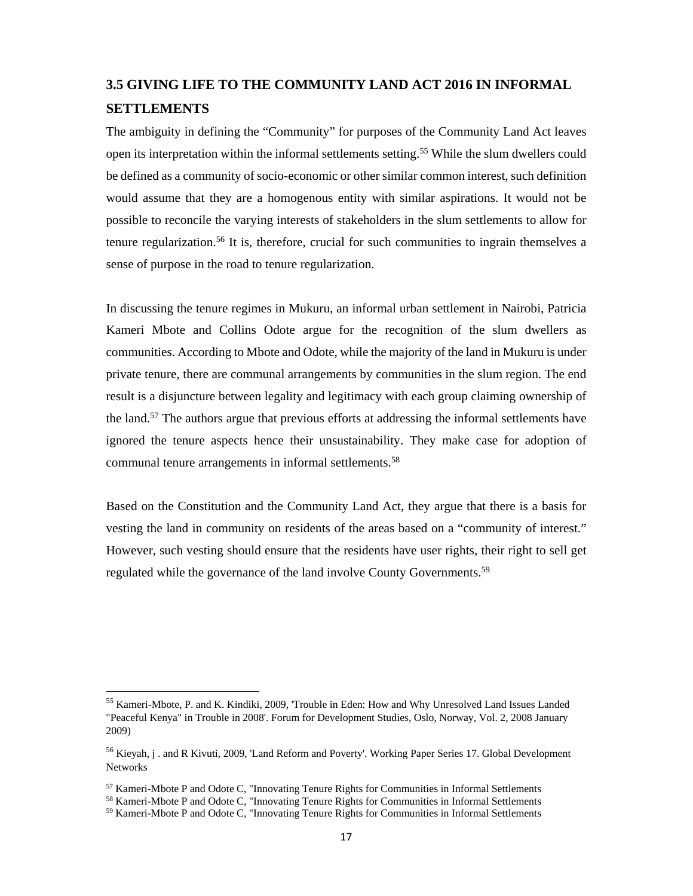## **3.5 GIVING LIFE TO THE COMMUNITY LAND ACT 2016 IN INFORMAL SETTLEMENTS**

The ambiguity in defining the "Community" for purposes of the Community Land Act leaves open its interpretation within the informal settlements setting.55 While the slum dwellers could be defined as a community of socio-economic or other similar common interest, such definition would assume that they are a homogenous entity with similar aspirations. It would not be possible to reconcile the varying interests of stakeholders in the slum settlements to allow for tenure regularization.<sup>56</sup> It is, therefore, crucial for such communities to ingrain themselves a sense of purpose in the road to tenure regularization.

In discussing the tenure regimes in Mukuru, an informal urban settlement in Nairobi, Patricia Kameri Mbote and Collins Odote argue for the recognition of the slum dwellers as communities. According to Mbote and Odote, while the majority of the land in Mukuru is under private tenure, there are communal arrangements by communities in the slum region. The end result is a disjuncture between legality and legitimacy with each group claiming ownership of the land.57 The authors argue that previous efforts at addressing the informal settlements have ignored the tenure aspects hence their unsustainability. They make case for adoption of communal tenure arrangements in informal settlements.<sup>58</sup>

Based on the Constitution and the Community Land Act, they argue that there is a basis for vesting the land in community on residents of the areas based on a "community of interest." However, such vesting should ensure that the residents have user rights, their right to sell get regulated while the governance of the land involve County Governments.<sup>59</sup>

<sup>55</sup> Kameri-Mbote, P. and K. Kindiki, 2009, 'Trouble in Eden: How and Why Unresolved Land Issues Landed "Peaceful Kenya" in Trouble in 2008'. Forum for Development Studies, Oslo, Norway, Vol. 2, 2008 January 2009)

<sup>&</sup>lt;sup>56</sup> Kieyah, j . and R Kivuti, 2009, 'Land Reform and Poverty'. Working Paper Series 17. Global Development Networks

 $57$  Kameri-Mbote P and Odote C, "Innovating Tenure Rights for Communities in Informal Settlements

<sup>&</sup>lt;sup>58</sup> Kameri-Mbote P and Odote C, "Innovating Tenure Rights for Communities in Informal Settlements

<sup>&</sup>lt;sup>59</sup> Kameri-Mbote P and Odote C, "Innovating Tenure Rights for Communities in Informal Settlements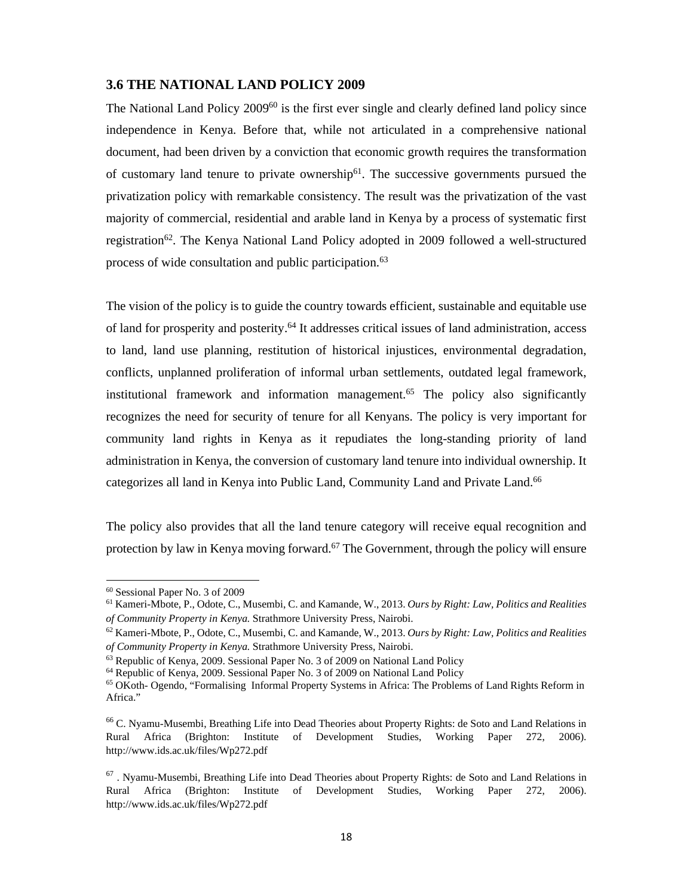### **3.6 THE NATIONAL LAND POLICY 2009**

The National Land Policy 2009<sup>60</sup> is the first ever single and clearly defined land policy since independence in Kenya. Before that, while not articulated in a comprehensive national document, had been driven by a conviction that economic growth requires the transformation of customary land tenure to private ownership<sup>61</sup>. The successive governments pursued the privatization policy with remarkable consistency. The result was the privatization of the vast majority of commercial, residential and arable land in Kenya by a process of systematic first registration<sup>62</sup>. The Kenya National Land Policy adopted in 2009 followed a well-structured process of wide consultation and public participation.<sup>63</sup>

The vision of the policy is to guide the country towards efficient, sustainable and equitable use of land for prosperity and posterity.64 It addresses critical issues of land administration, access to land, land use planning, restitution of historical injustices, environmental degradation, conflicts, unplanned proliferation of informal urban settlements, outdated legal framework, institutional framework and information management.<sup>65</sup> The policy also significantly recognizes the need for security of tenure for all Kenyans. The policy is very important for community land rights in Kenya as it repudiates the long-standing priority of land administration in Kenya, the conversion of customary land tenure into individual ownership. It categorizes all land in Kenya into Public Land, Community Land and Private Land.<sup>66</sup>

The policy also provides that all the land tenure category will receive equal recognition and protection by law in Kenya moving forward.<sup>67</sup> The Government, through the policy will ensure

 60 Sessional Paper No. 3 of 2009

<sup>61</sup> Kameri-Mbote, P., Odote, C., Musembi, C. and Kamande, W., 2013. *Ours by Right: Law, Politics and Realities of Community Property in Kenya. Strathmore University Press, Nairobi.* 62 Kameri-Mbote, P., Odote, C., Musembi, C. and Kamande, W., 2013. *Ours by Right: Law, Politics and Realities* 

*of Community Property in Kenya.* Strathmore University Press, Nairobi.<br><sup>63</sup> Republic of Kenya, 2009. Sessional Paper No. 3 of 2009 on National Land Policy

<sup>64</sup> Republic of Kenya, 2009. Sessional Paper No. 3 of 2009 on National Land Policy

<sup>&</sup>lt;sup>65</sup> OKoth- Ogendo, "Formalising Informal Property Systems in Africa: The Problems of Land Rights Reform in Africa."

<sup>66</sup> C. Nyamu-Musembi, Breathing Life into Dead Theories about Property Rights: de Soto and Land Relations in Rural Africa (Brighton: Institute of Development Studies, Working Paper 272, 2006). http://www.ids.ac.uk/files/Wp272.pdf

 $67$ . Nyamu-Musembi, Breathing Life into Dead Theories about Property Rights: de Soto and Land Relations in Rural Africa (Brighton: Institute of Development Studies, Working Paper 272, 2006). http://www.ids.ac.uk/files/Wp272.pdf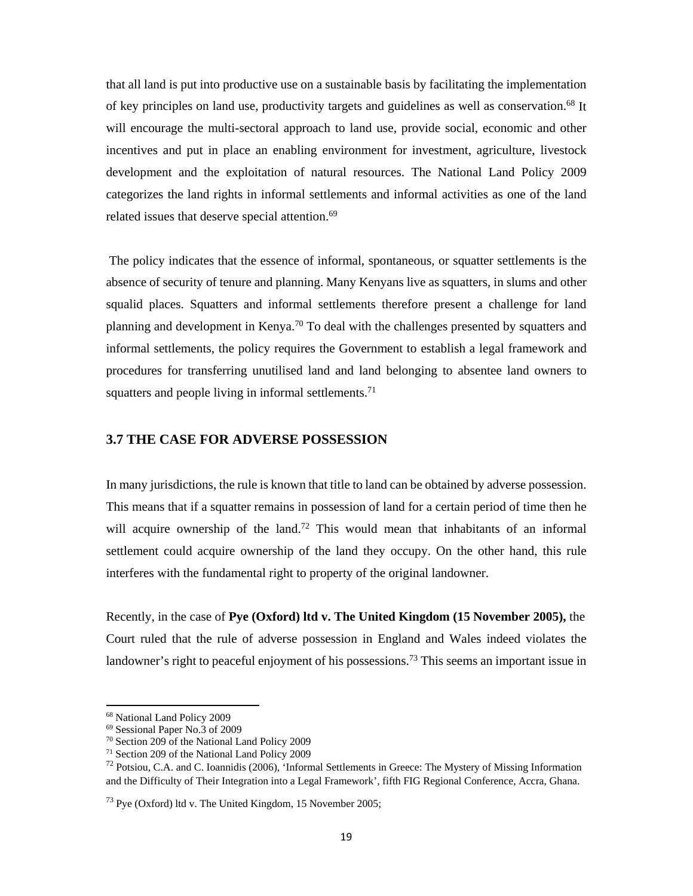that all land is put into productive use on a sustainable basis by facilitating the implementation of key principles on land use, productivity targets and guidelines as well as conservation.<sup>68</sup> It will encourage the multi-sectoral approach to land use, provide social, economic and other incentives and put in place an enabling environment for investment, agriculture, livestock development and the exploitation of natural resources. The National Land Policy 2009 categorizes the land rights in informal settlements and informal activities as one of the land related issues that deserve special attention.<sup>69</sup>

 The policy indicates that the essence of informal, spontaneous, or squatter settlements is the absence of security of tenure and planning. Many Kenyans live as squatters, in slums and other squalid places. Squatters and informal settlements therefore present a challenge for land planning and development in Kenya.<sup>70</sup> To deal with the challenges presented by squatters and informal settlements, the policy requires the Government to establish a legal framework and procedures for transferring unutilised land and land belonging to absentee land owners to squatters and people living in informal settlements.<sup>71</sup>

### **3.7 THE CASE FOR ADVERSE POSSESSION**

In many jurisdictions, the rule is known that title to land can be obtained by adverse possession. This means that if a squatter remains in possession of land for a certain period of time then he will acquire ownership of the land.<sup>72</sup> This would mean that inhabitants of an informal settlement could acquire ownership of the land they occupy. On the other hand, this rule interferes with the fundamental right to property of the original landowner.

Recently, in the case of **Pye (Oxford) ltd v. The United Kingdom (15 November 2005),** the Court ruled that the rule of adverse possession in England and Wales indeed violates the landowner's right to peaceful enjoyment of his possessions.<sup>73</sup> This seems an important issue in

<sup>68</sup> National Land Policy 2009

<sup>69</sup> Sessional Paper No.3 of 2009

<sup>70</sup> Section 209 of the National Land Policy 2009

<sup>71</sup> Section 209 of the National Land Policy 2009

<sup>&</sup>lt;sup>72</sup> Potsiou, C.A. and C. Ioannidis (2006), 'Informal Settlements in Greece: The Mystery of Missing Information and the Difficulty of Their Integration into a Legal Framework', fifth FIG Regional Conference, Accra, Ghana.

 $^{73}$  Pye (Oxford) ltd v. The United Kingdom, 15 November 2005;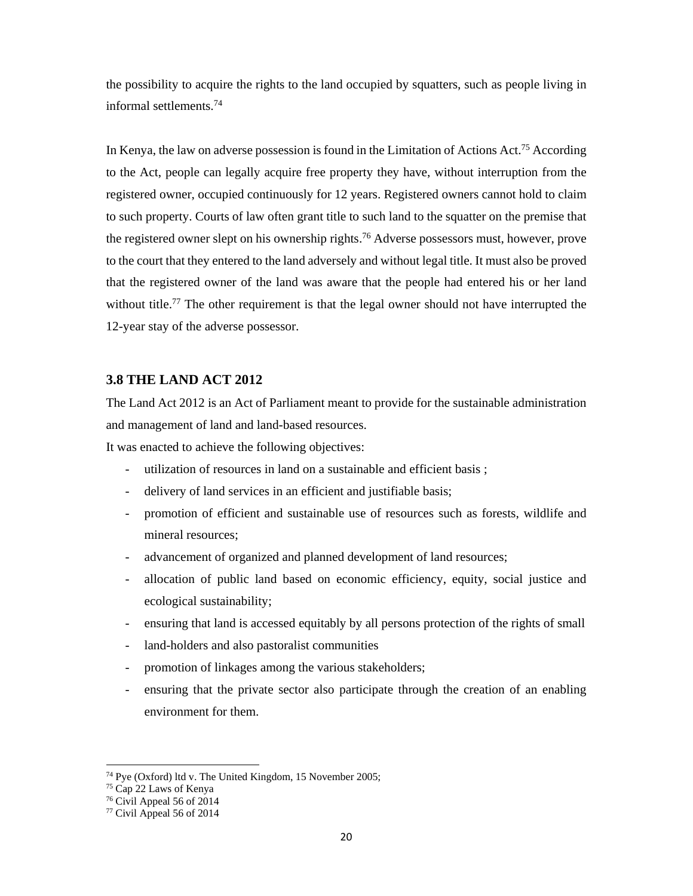the possibility to acquire the rights to the land occupied by squatters, such as people living in informal settlements.74

In Kenya, the law on adverse possession is found in the Limitation of Actions Act.<sup>75</sup> According to the Act, people can legally acquire free property they have, without interruption from the registered owner, occupied continuously for 12 years. Registered owners cannot hold to claim to such property. Courts of law often grant title to such land to the squatter on the premise that the registered owner slept on his ownership rights.<sup>76</sup> Adverse possessors must, however, prove to the court that they entered to the land adversely and without legal title. It must also be proved that the registered owner of the land was aware that the people had entered his or her land without title.<sup>77</sup> The other requirement is that the legal owner should not have interrupted the 12-year stay of the adverse possessor.

### **3.8 THE LAND ACT 2012**

The Land Act 2012 is an Act of Parliament meant to provide for the sustainable administration and management of land and land-based resources.

It was enacted to achieve the following objectives:

- utilization of resources in land on a sustainable and efficient basis ;
- delivery of land services in an efficient and justifiable basis;
- promotion of efficient and sustainable use of resources such as forests, wildlife and mineral resources;
- advancement of organized and planned development of land resources;
- allocation of public land based on economic efficiency, equity, social justice and ecological sustainability;
- ensuring that land is accessed equitably by all persons protection of the rights of small
- land-holders and also pastoralist communities
- promotion of linkages among the various stakeholders;
- ensuring that the private sector also participate through the creation of an enabling environment for them.

<sup>74</sup> Pye (Oxford) ltd v. The United Kingdom, 15 November 2005;

<sup>75</sup> Cap 22 Laws of Kenya

<sup>76</sup> Civil Appeal 56 of 2014

<sup>77</sup> Civil Appeal 56 of 2014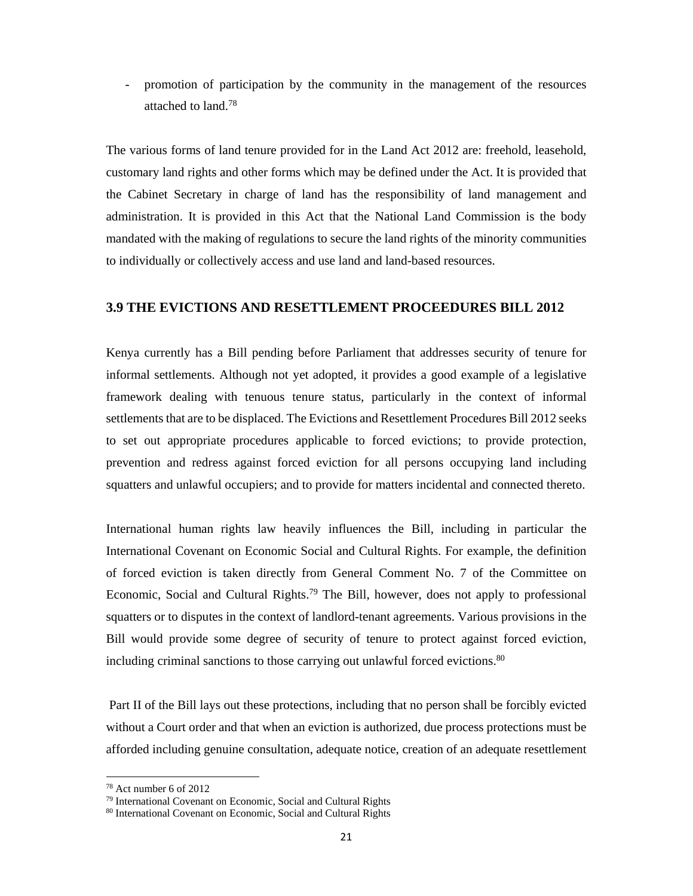- promotion of participation by the community in the management of the resources attached to land.78

The various forms of land tenure provided for in the Land Act 2012 are: freehold, leasehold, customary land rights and other forms which may be defined under the Act. It is provided that the Cabinet Secretary in charge of land has the responsibility of land management and administration. It is provided in this Act that the National Land Commission is the body mandated with the making of regulations to secure the land rights of the minority communities to individually or collectively access and use land and land-based resources.

### **3.9 THE EVICTIONS AND RESETTLEMENT PROCEEDURES BILL 2012**

Kenya currently has a Bill pending before Parliament that addresses security of tenure for informal settlements. Although not yet adopted, it provides a good example of a legislative framework dealing with tenuous tenure status, particularly in the context of informal settlements that are to be displaced. The Evictions and Resettlement Procedures Bill 2012 seeks to set out appropriate procedures applicable to forced evictions; to provide protection, prevention and redress against forced eviction for all persons occupying land including squatters and unlawful occupiers; and to provide for matters incidental and connected thereto.

International human rights law heavily influences the Bill, including in particular the International Covenant on Economic Social and Cultural Rights. For example, the definition of forced eviction is taken directly from General Comment No. 7 of the Committee on Economic, Social and Cultural Rights.79 The Bill, however, does not apply to professional squatters or to disputes in the context of landlord-tenant agreements. Various provisions in the Bill would provide some degree of security of tenure to protect against forced eviction, including criminal sanctions to those carrying out unlawful forced evictions.<sup>80</sup>

 Part II of the Bill lays out these protections, including that no person shall be forcibly evicted without a Court order and that when an eviction is authorized, due process protections must be afforded including genuine consultation, adequate notice, creation of an adequate resettlement

 $78$  Act number 6 of 2012

<sup>79</sup> International Covenant on Economic, Social and Cultural Rights

<sup>80</sup> International Covenant on Economic, Social and Cultural Rights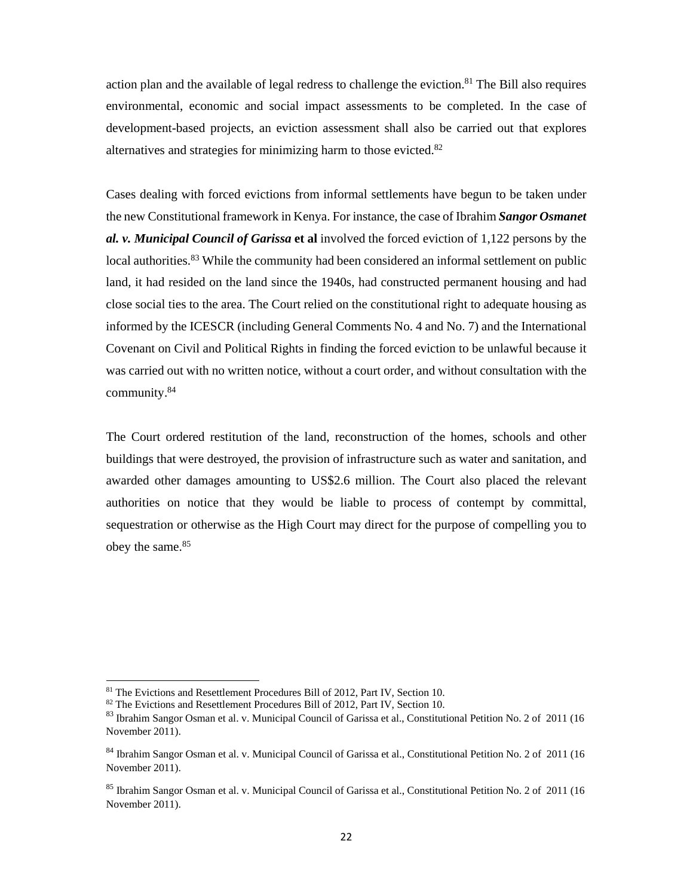action plan and the available of legal redress to challenge the eviction.<sup>81</sup> The Bill also requires environmental, economic and social impact assessments to be completed. In the case of development-based projects, an eviction assessment shall also be carried out that explores alternatives and strategies for minimizing harm to those evicted.82

Cases dealing with forced evictions from informal settlements have begun to be taken under the new Constitutional framework in Kenya. For instance, the case of Ibrahim *Sangor Osmanet al. v. Municipal Council of Garissa* **et al** involved the forced eviction of 1,122 persons by the local authorities.<sup>83</sup> While the community had been considered an informal settlement on public land, it had resided on the land since the 1940s, had constructed permanent housing and had close social ties to the area. The Court relied on the constitutional right to adequate housing as informed by the ICESCR (including General Comments No. 4 and No. 7) and the International Covenant on Civil and Political Rights in finding the forced eviction to be unlawful because it was carried out with no written notice, without a court order, and without consultation with the community.84

The Court ordered restitution of the land, reconstruction of the homes, schools and other buildings that were destroyed, the provision of infrastructure such as water and sanitation, and awarded other damages amounting to US\$2.6 million. The Court also placed the relevant authorities on notice that they would be liable to process of contempt by committal, sequestration or otherwise as the High Court may direct for the purpose of compelling you to obey the same.<sup>85</sup>

<sup>&</sup>lt;sup>81</sup> The Evictions and Resettlement Procedures Bill of 2012, Part IV, Section 10.

<sup>82</sup> The Evictions and Resettlement Procedures Bill of 2012, Part IV, Section 10.

<sup>83</sup> Ibrahim Sangor Osman et al. v. Municipal Council of Garissa et al., Constitutional Petition No. 2 of 2011 (16 November 2011).

<sup>&</sup>lt;sup>84</sup> Ibrahim Sangor Osman et al. v. Municipal Council of Garissa et al., Constitutional Petition No. 2 of 2011 (16 November 2011).

<sup>&</sup>lt;sup>85</sup> Ibrahim Sangor Osman et al. v. Municipal Council of Garissa et al., Constitutional Petition No. 2 of 2011 (16 November 2011).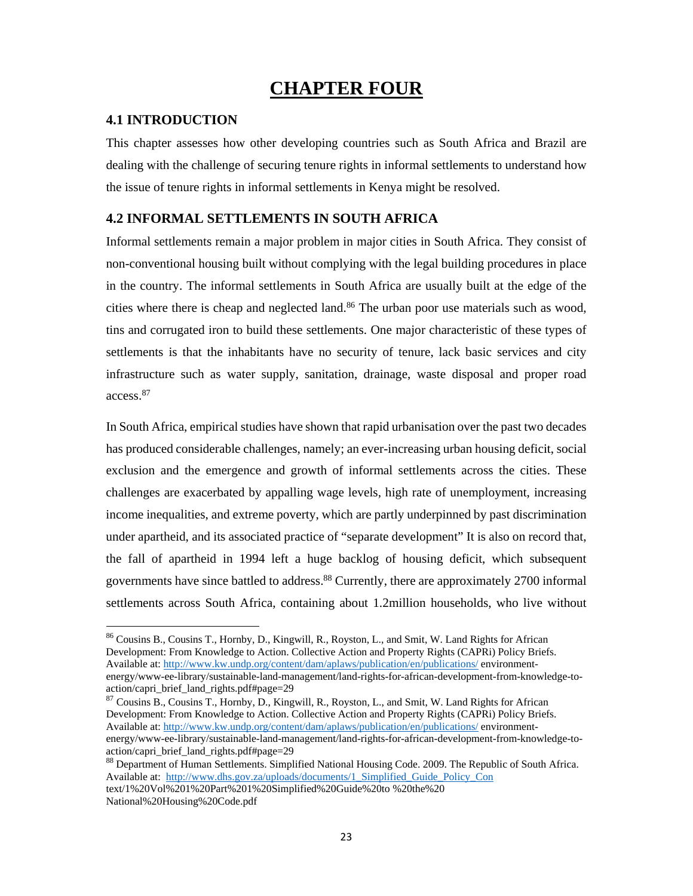# **CHAPTER FOUR**

### **4.1 INTRODUCTION**

This chapter assesses how other developing countries such as South Africa and Brazil are dealing with the challenge of securing tenure rights in informal settlements to understand how the issue of tenure rights in informal settlements in Kenya might be resolved.

### **4.2 INFORMAL SETTLEMENTS IN SOUTH AFRICA**

Informal settlements remain a major problem in major cities in South Africa. They consist of non-conventional housing built without complying with the legal building procedures in place in the country. The informal settlements in South Africa are usually built at the edge of the cities where there is cheap and neglected land.<sup>86</sup> The urban poor use materials such as wood, tins and corrugated iron to build these settlements. One major characteristic of these types of settlements is that the inhabitants have no security of tenure, lack basic services and city infrastructure such as water supply, sanitation, drainage, waste disposal and proper road access.87

In South Africa, empirical studies have shown that rapid urbanisation over the past two decades has produced considerable challenges, namely; an ever-increasing urban housing deficit, social exclusion and the emergence and growth of informal settlements across the cities. These challenges are exacerbated by appalling wage levels, high rate of unemployment, increasing income inequalities, and extreme poverty, which are partly underpinned by past discrimination under apartheid, and its associated practice of "separate development" It is also on record that, the fall of apartheid in 1994 left a huge backlog of housing deficit, which subsequent governments have since battled to address.<sup>88</sup> Currently, there are approximately 2700 informal settlements across South Africa, containing about 1.2million households, who live without

<sup>87</sup> Cousins B., Cousins T., Hornby, D., Kingwill, R., Royston, L., and Smit, W. Land Rights for African Development: From Knowledge to Action. Collective Action and Property Rights (CAPRi) Policy Briefs. Available at: http://www.kw.undp.org/content/dam/aplaws/publication/en/publications/ environmentenergy/www-ee-library/sustainable-land-management/land-rights-for-african-development-from-knowledge-toaction/capri\_brief\_land\_rights.pdf#page=29

<sup>86</sup> Cousins B., Cousins T., Hornby, D., Kingwill, R., Royston, L., and Smit, W. Land Rights for African Development: From Knowledge to Action. Collective Action and Property Rights (CAPRi) Policy Briefs. Available at: http://www.kw.undp.org/content/dam/aplaws/publication/en/publications/ environmentenergy/www-ee-library/sustainable-land-management/land-rights-for-african-development-from-knowledge-toaction/capri\_brief\_land\_rights.pdf#page=29

<sup>88</sup> Department of Human Settlements. Simplified National Housing Code. 2009. The Republic of South Africa. Available at: http://www.dhs.gov.za/uploads/documents/1\_Simplified\_Guide\_Policy\_Con text/1%20Vol%201%20Part%201%20Simplified%20Guide%20to %20the%20 National%20Housing%20Code.pdf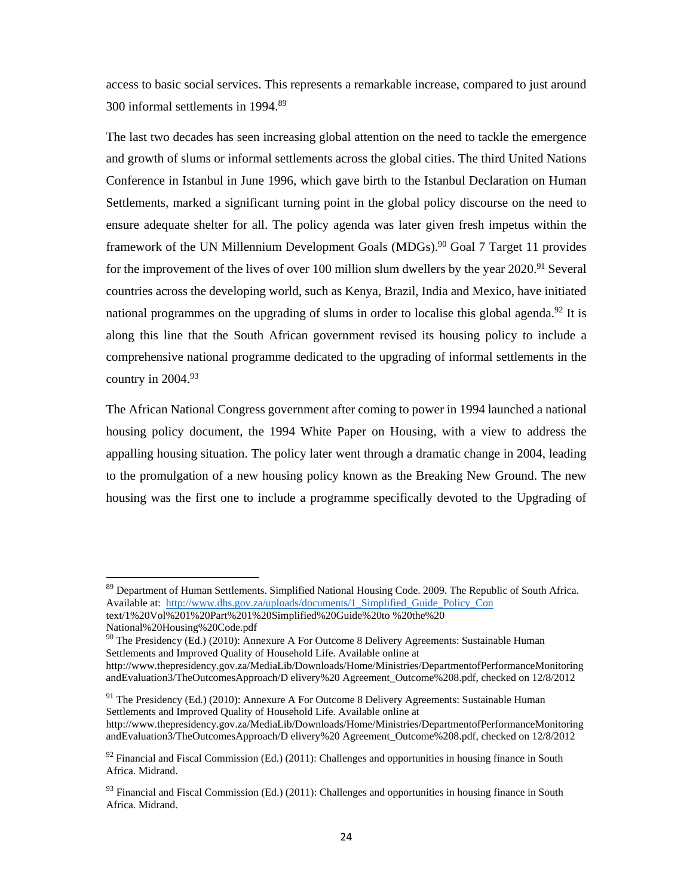access to basic social services. This represents a remarkable increase, compared to just around 300 informal settlements in 1994.89

The last two decades has seen increasing global attention on the need to tackle the emergence and growth of slums or informal settlements across the global cities. The third United Nations Conference in Istanbul in June 1996, which gave birth to the Istanbul Declaration on Human Settlements, marked a significant turning point in the global policy discourse on the need to ensure adequate shelter for all. The policy agenda was later given fresh impetus within the framework of the UN Millennium Development Goals (MDGs).<sup>90</sup> Goal 7 Target 11 provides for the improvement of the lives of over 100 million slum dwellers by the year  $2020$ .<sup>91</sup> Several countries across the developing world, such as Kenya, Brazil, India and Mexico, have initiated national programmes on the upgrading of slums in order to localise this global agenda.<sup>92</sup> It is along this line that the South African government revised its housing policy to include a comprehensive national programme dedicated to the upgrading of informal settlements in the country in 2004.93

The African National Congress government after coming to power in 1994 launched a national housing policy document, the 1994 White Paper on Housing, with a view to address the appalling housing situation. The policy later went through a dramatic change in 2004, leading to the promulgation of a new housing policy known as the Breaking New Ground. The new housing was the first one to include a programme specifically devoted to the Upgrading of

<sup>91</sup> The Presidency (Ed.) (2010): Annexure A For Outcome 8 Delivery Agreements: Sustainable Human Settlements and Improved Quality of Household Life. Available online at http://www.thepresidency.gov.za/MediaLib/Downloads/Home/Ministries/DepartmentofPerformanceMonitoring andEvaluation3/TheOutcomesApproach/D elivery%20 Agreement\_Outcome%208.pdf, checked on 12/8/2012

<sup>&</sup>lt;sup>89</sup> Department of Human Settlements. Simplified National Housing Code. 2009. The Republic of South Africa. Available at: http://www.dhs.gov.za/uploads/documents/1\_Simplified\_Guide\_Policy\_Con

text/1%20Vol%201%20Part%201%20Simplified%20Guide%20to %20the%20 National%20Housing%20Code.pdf

 $90$  The Presidency (Ed.) (2010): Annexure A For Outcome 8 Delivery Agreements: Sustainable Human Settlements and Improved Quality of Household Life. Available online at

http://www.thepresidency.gov.za/MediaLib/Downloads/Home/Ministries/DepartmentofPerformanceMonitoring andEvaluation3/TheOutcomesApproach/D elivery%20 Agreement\_Outcome%208.pdf, checked on 12/8/2012

 $92$  Financial and Fiscal Commission (Ed.) (2011): Challenges and opportunities in housing finance in South Africa. Midrand.

 $93$  Financial and Fiscal Commission (Ed.) (2011): Challenges and opportunities in housing finance in South Africa. Midrand.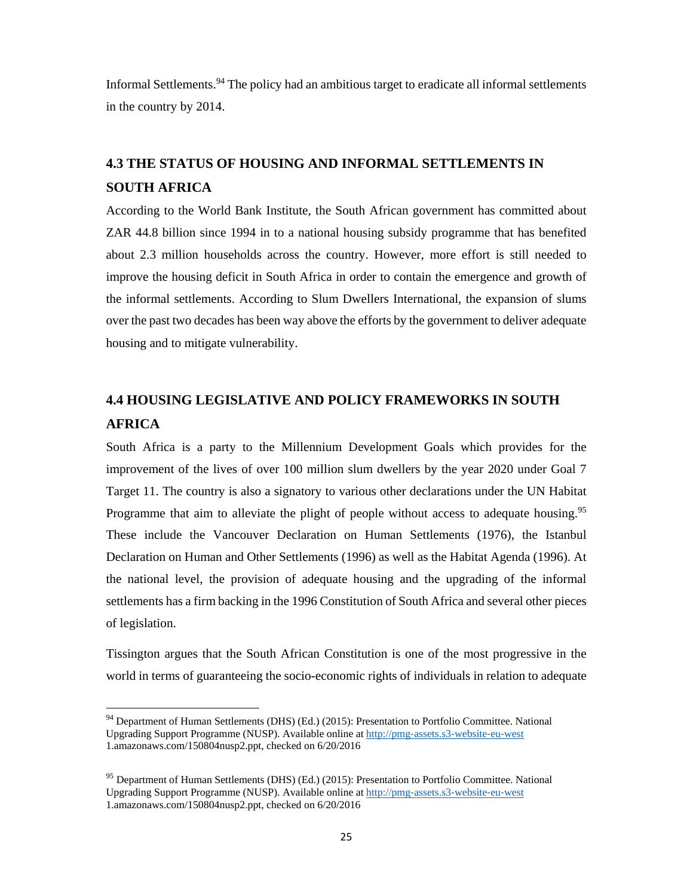Informal Settlements.94 The policy had an ambitious target to eradicate all informal settlements in the country by 2014.

## **4.3 THE STATUS OF HOUSING AND INFORMAL SETTLEMENTS IN SOUTH AFRICA**

According to the World Bank Institute, the South African government has committed about ZAR 44.8 billion since 1994 in to a national housing subsidy programme that has benefited about 2.3 million households across the country. However, more effort is still needed to improve the housing deficit in South Africa in order to contain the emergence and growth of the informal settlements. According to Slum Dwellers International, the expansion of slums over the past two decades has been way above the efforts by the government to deliver adequate housing and to mitigate vulnerability.

## **4.4 HOUSING LEGISLATIVE AND POLICY FRAMEWORKS IN SOUTH AFRICA**

South Africa is a party to the Millennium Development Goals which provides for the improvement of the lives of over 100 million slum dwellers by the year 2020 under Goal 7 Target 11. The country is also a signatory to various other declarations under the UN Habitat Programme that aim to alleviate the plight of people without access to adequate housing.<sup>95</sup> These include the Vancouver Declaration on Human Settlements (1976), the Istanbul Declaration on Human and Other Settlements (1996) as well as the Habitat Agenda (1996). At the national level, the provision of adequate housing and the upgrading of the informal settlements has a firm backing in the 1996 Constitution of South Africa and several other pieces of legislation.

Tissington argues that the South African Constitution is one of the most progressive in the world in terms of guaranteeing the socio-economic rights of individuals in relation to adequate

<sup>94</sup> Department of Human Settlements (DHS) (Ed.) (2015): Presentation to Portfolio Committee. National Upgrading Support Programme (NUSP). Available online at http://pmg‐assets.s3‐website‐eu‐west 1.amazonaws.com/150804nusp2.ppt, checked on 6/20/2016

<sup>&</sup>lt;sup>95</sup> Department of Human Settlements (DHS) (Ed.) (2015): Presentation to Portfolio Committee. National Upgrading Support Programme (NUSP). Available online at http://pmg‐assets.s3‐website‐eu‐west 1.amazonaws.com/150804nusp2.ppt, checked on 6/20/2016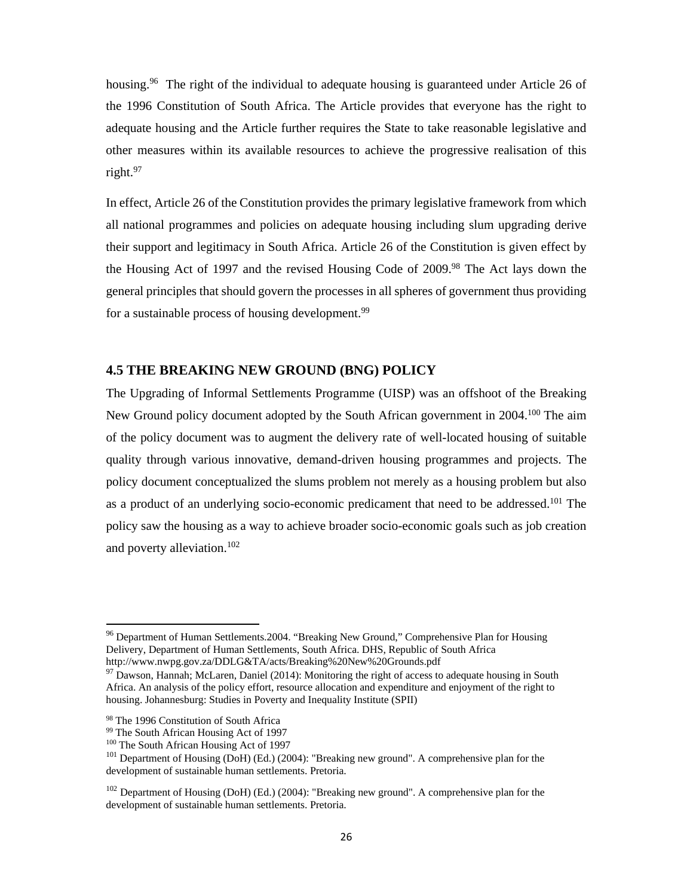housing.<sup>96</sup> The right of the individual to adequate housing is guaranteed under Article 26 of the 1996 Constitution of South Africa. The Article provides that everyone has the right to adequate housing and the Article further requires the State to take reasonable legislative and other measures within its available resources to achieve the progressive realisation of this right.97

In effect, Article 26 of the Constitution provides the primary legislative framework from which all national programmes and policies on adequate housing including slum upgrading derive their support and legitimacy in South Africa. Article 26 of the Constitution is given effect by the Housing Act of 1997 and the revised Housing Code of 2009.98 The Act lays down the general principles that should govern the processes in all spheres of government thus providing for a sustainable process of housing development.<sup>99</sup>

#### **4.5 THE BREAKING NEW GROUND (BNG) POLICY**

The Upgrading of Informal Settlements Programme (UISP) was an offshoot of the Breaking New Ground policy document adopted by the South African government in 2004.<sup>100</sup> The aim of the policy document was to augment the delivery rate of well-located housing of suitable quality through various innovative, demand-driven housing programmes and projects. The policy document conceptualized the slums problem not merely as a housing problem but also as a product of an underlying socio-economic predicament that need to be addressed.101 The policy saw the housing as a way to achieve broader socio-economic goals such as job creation and poverty alleviation.102

<sup>&</sup>lt;sup>96</sup> Department of Human Settlements. 2004. "Breaking New Ground," Comprehensive Plan for Housing Delivery, Department of Human Settlements, South Africa. DHS, Republic of South Africa http://www.nwpg.gov.za/DDLG&TA/acts/Breaking%20New%20Grounds.pdf

 $97$  Dawson, Hannah; McLaren, Daniel (2014): Monitoring the right of access to adequate housing in South Africa. An analysis of the policy effort, resource allocation and expenditure and enjoyment of the right to housing. Johannesburg: Studies in Poverty and Inequality Institute (SPII)

<sup>98</sup> The 1996 Constitution of South Africa

<sup>99</sup> The South African Housing Act of 1997

<sup>100</sup> The South African Housing Act of 1997

<sup>101</sup> Department of Housing (DoH) (Ed.) (2004): "Breaking new ground". A comprehensive plan for the development of sustainable human settlements. Pretoria.

<sup>&</sup>lt;sup>102</sup> Department of Housing (DoH) (Ed.) (2004): "Breaking new ground". A comprehensive plan for the development of sustainable human settlements. Pretoria.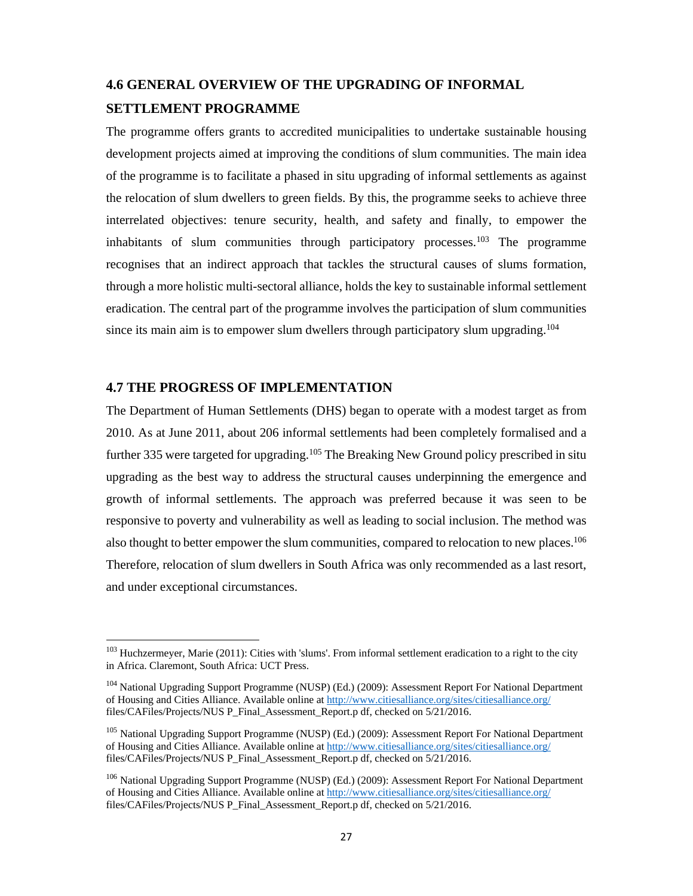## **4.6 GENERAL OVERVIEW OF THE UPGRADING OF INFORMAL SETTLEMENT PROGRAMME**

The programme offers grants to accredited municipalities to undertake sustainable housing development projects aimed at improving the conditions of slum communities. The main idea of the programme is to facilitate a phased in situ upgrading of informal settlements as against the relocation of slum dwellers to green fields. By this, the programme seeks to achieve three interrelated objectives: tenure security, health, and safety and finally, to empower the inhabitants of slum communities through participatory processes.<sup>103</sup> The programme recognises that an indirect approach that tackles the structural causes of slums formation, through a more holistic multi-sectoral alliance, holds the key to sustainable informal settlement eradication. The central part of the programme involves the participation of slum communities since its main aim is to empower slum dwellers through participatory slum upgrading.<sup>104</sup>

### **4.7 THE PROGRESS OF IMPLEMENTATION**

The Department of Human Settlements (DHS) began to operate with a modest target as from 2010. As at June 2011, about 206 informal settlements had been completely formalised and a further 335 were targeted for upgrading.<sup>105</sup> The Breaking New Ground policy prescribed in situ upgrading as the best way to address the structural causes underpinning the emergence and growth of informal settlements. The approach was preferred because it was seen to be responsive to poverty and vulnerability as well as leading to social inclusion. The method was also thought to better empower the slum communities, compared to relocation to new places.<sup>106</sup> Therefore, relocation of slum dwellers in South Africa was only recommended as a last resort, and under exceptional circumstances.

<sup>&</sup>lt;sup>103</sup> Huchzermeyer, Marie (2011): Cities with 'slums'. From informal settlement eradication to a right to the city in Africa. Claremont, South Africa: UCT Press.

<sup>&</sup>lt;sup>104</sup> National Upgrading Support Programme (NUSP) (Ed.) (2009): Assessment Report For National Department of Housing and Cities Alliance. Available online at http://www.citiesalliance.org/sites/citiesalliance.org/ files/CAFiles/Projects/NUS P\_Final\_Assessment\_Report.p df, checked on 5/21/2016.

<sup>&</sup>lt;sup>105</sup> National Upgrading Support Programme (NUSP) (Ed.) (2009): Assessment Report For National Department of Housing and Cities Alliance. Available online at http://www.citiesalliance.org/sites/citiesalliance.org/ files/CAFiles/Projects/NUS P\_Final\_Assessment\_Report.p df, checked on 5/21/2016.

<sup>&</sup>lt;sup>106</sup> National Upgrading Support Programme (NUSP) (Ed.) (2009): Assessment Report For National Department of Housing and Cities Alliance. Available online at http://www.citiesalliance.org/sites/citiesalliance.org/ files/CAFiles/Projects/NUS P\_Final\_Assessment\_Report.p df, checked on 5/21/2016.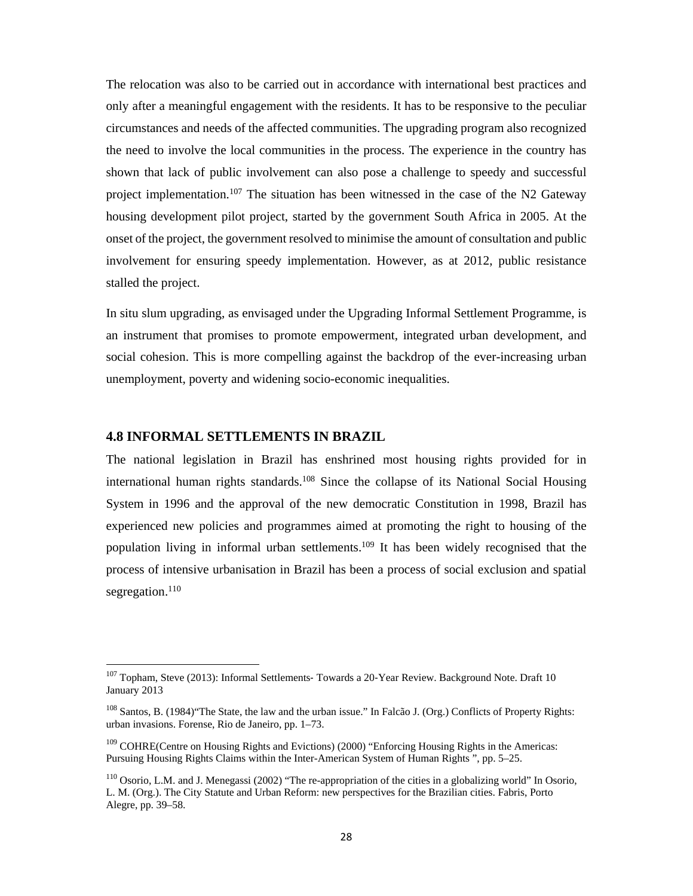The relocation was also to be carried out in accordance with international best practices and only after a meaningful engagement with the residents. It has to be responsive to the peculiar circumstances and needs of the affected communities. The upgrading program also recognized the need to involve the local communities in the process. The experience in the country has shown that lack of public involvement can also pose a challenge to speedy and successful project implementation.<sup>107</sup> The situation has been witnessed in the case of the N2 Gateway housing development pilot project, started by the government South Africa in 2005. At the onset of the project, the government resolved to minimise the amount of consultation and public involvement for ensuring speedy implementation. However, as at 2012, public resistance stalled the project.

In situ slum upgrading, as envisaged under the Upgrading Informal Settlement Programme, is an instrument that promises to promote empowerment, integrated urban development, and social cohesion. This is more compelling against the backdrop of the ever-increasing urban unemployment, poverty and widening socio-economic inequalities.

#### **4.8 INFORMAL SETTLEMENTS IN BRAZIL**

The national legislation in Brazil has enshrined most housing rights provided for in international human rights standards.<sup>108</sup> Since the collapse of its National Social Housing System in 1996 and the approval of the new democratic Constitution in 1998, Brazil has experienced new policies and programmes aimed at promoting the right to housing of the population living in informal urban settlements.109 It has been widely recognised that the process of intensive urbanisation in Brazil has been a process of social exclusion and spatial segregation.<sup>110</sup>

<sup>&</sup>lt;sup>107</sup> Topham, Steve (2013): Informal Settlements- Towards a 20-Year Review. Background Note. Draft 10 January 2013

<sup>&</sup>lt;sup>108</sup> Santos, B. (1984) "The State, the law and the urban issue." In Falcão J. (Org.) Conflicts of Property Rights: urban invasions. Forense, Rio de Janeiro, pp. 1–73.

<sup>&</sup>lt;sup>109</sup> COHRE(Centre on Housing Rights and Evictions) (2000) "Enforcing Housing Rights in the Americas: Pursuing Housing Rights Claims within the Inter-American System of Human Rights ", pp. 5–25.

<sup>&</sup>lt;sup>110</sup> Osorio, L.M. and J. Menegassi (2002) "The re-appropriation of the cities in a globalizing world" In Osorio, L. M. (Org.). The City Statute and Urban Reform: new perspectives for the Brazilian cities. Fabris, Porto Alegre, pp. 39–58.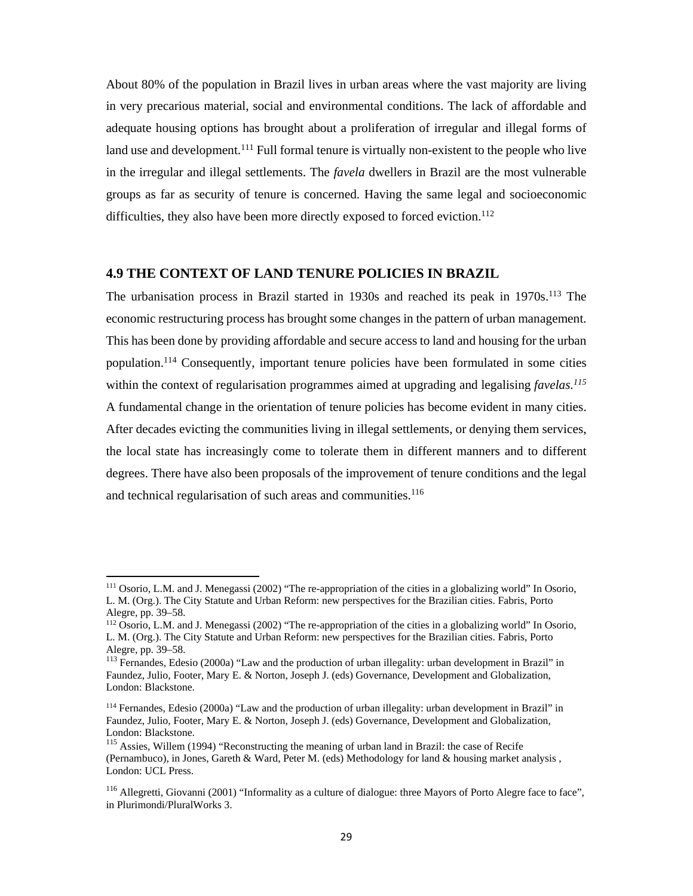About 80% of the population in Brazil lives in urban areas where the vast majority are living in very precarious material, social and environmental conditions. The lack of affordable and adequate housing options has brought about a proliferation of irregular and illegal forms of land use and development.<sup>111</sup> Full formal tenure is virtually non-existent to the people who live in the irregular and illegal settlements. The *favela* dwellers in Brazil are the most vulnerable groups as far as security of tenure is concerned. Having the same legal and socioeconomic difficulties, they also have been more directly exposed to forced eviction.<sup>112</sup>

## **4.9 THE CONTEXT OF LAND TENURE POLICIES IN BRAZIL**

The urbanisation process in Brazil started in 1930s and reached its peak in 1970s.<sup>113</sup> The economic restructuring process has brought some changes in the pattern of urban management. This has been done by providing affordable and secure access to land and housing for the urban population.114 Consequently, important tenure policies have been formulated in some cities within the context of regularisation programmes aimed at upgrading and legalising *favelas*.<sup>115</sup> A fundamental change in the orientation of tenure policies has become evident in many cities. After decades evicting the communities living in illegal settlements, or denying them services, the local state has increasingly come to tolerate them in different manners and to different degrees. There have also been proposals of the improvement of tenure conditions and the legal and technical regularisation of such areas and communities.<sup>116</sup>

<sup>111</sup> Osorio, L.M. and J. Menegassi (2002) "The re-appropriation of the cities in a globalizing world" In Osorio, L. M. (Org.). The City Statute and Urban Reform: new perspectives for the Brazilian cities. Fabris, Porto Alegre, pp. 39–58.

<sup>112</sup> Osorio, L.M. and J. Menegassi (2002) "The re-appropriation of the cities in a globalizing world" In Osorio, L. M. (Org.). The City Statute and Urban Reform: new perspectives for the Brazilian cities. Fabris, Porto Alegre, pp. 39–58.

<sup>&</sup>lt;sup>113</sup> Fernandes, Edesio (2000a) "Law and the production of urban illegality: urban development in Brazil" in Faundez, Julio, Footer, Mary E. & Norton, Joseph J. (eds) Governance, Development and Globalization, London: Blackstone.

<sup>114</sup> Fernandes, Edesio (2000a) "Law and the production of urban illegality: urban development in Brazil" in Faundez, Julio, Footer, Mary E. & Norton, Joseph J. (eds) Governance, Development and Globalization, London: Blackstone.

<sup>&</sup>lt;sup>115</sup> Assies, Willem (1994) "Reconstructing the meaning of urban land in Brazil: the case of Recife (Pernambuco), in Jones, Gareth & Ward, Peter M. (eds) Methodology for land & housing market analysis , London: UCL Press.

<sup>&</sup>lt;sup>116</sup> Allegretti, Giovanni (2001) "Informality as a culture of dialogue: three Mayors of Porto Alegre face to face", in Plurimondi/PluralWorks 3.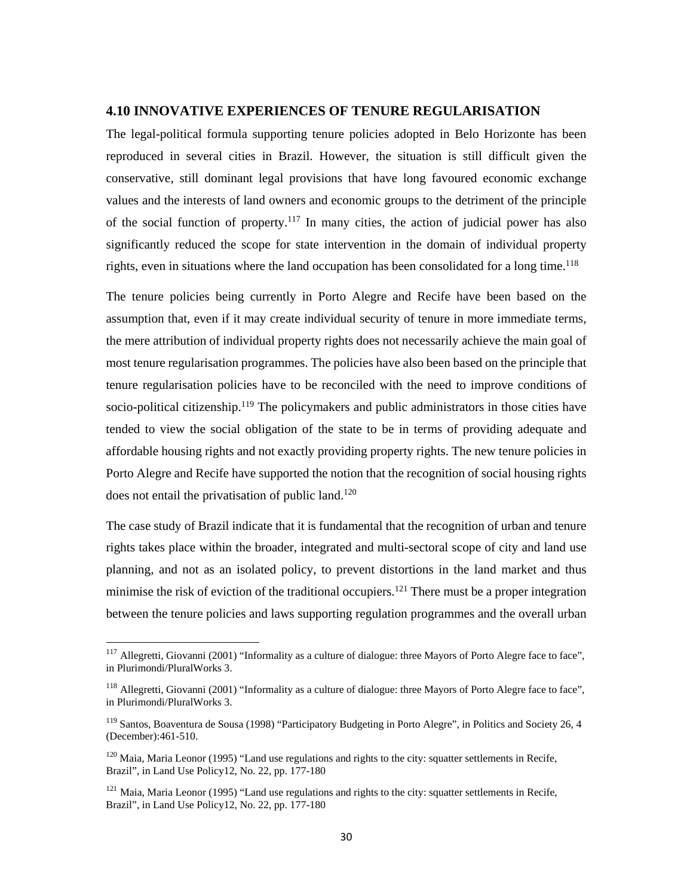### **4.10 INNOVATIVE EXPERIENCES OF TENURE REGULARISATION**

The legal-political formula supporting tenure policies adopted in Belo Horizonte has been reproduced in several cities in Brazil. However, the situation is still difficult given the conservative, still dominant legal provisions that have long favoured economic exchange values and the interests of land owners and economic groups to the detriment of the principle of the social function of property.<sup>117</sup> In many cities, the action of judicial power has also significantly reduced the scope for state intervention in the domain of individual property rights, even in situations where the land occupation has been consolidated for a long time.<sup>118</sup>

The tenure policies being currently in Porto Alegre and Recife have been based on the assumption that, even if it may create individual security of tenure in more immediate terms, the mere attribution of individual property rights does not necessarily achieve the main goal of most tenure regularisation programmes. The policies have also been based on the principle that tenure regularisation policies have to be reconciled with the need to improve conditions of socio-political citizenship.119 The policymakers and public administrators in those cities have tended to view the social obligation of the state to be in terms of providing adequate and affordable housing rights and not exactly providing property rights. The new tenure policies in Porto Alegre and Recife have supported the notion that the recognition of social housing rights does not entail the privatisation of public land.<sup>120</sup>

The case study of Brazil indicate that it is fundamental that the recognition of urban and tenure rights takes place within the broader, integrated and multi-sectoral scope of city and land use planning, and not as an isolated policy, to prevent distortions in the land market and thus minimise the risk of eviction of the traditional occupiers.<sup>121</sup> There must be a proper integration between the tenure policies and laws supporting regulation programmes and the overall urban

 $117$  Allegretti, Giovanni (2001) "Informality as a culture of dialogue: three Mayors of Porto Alegre face to face", in Plurimondi/PluralWorks 3.

<sup>&</sup>lt;sup>118</sup> Allegretti, Giovanni (2001) "Informality as a culture of dialogue: three Mayors of Porto Alegre face to face", in Plurimondi/PluralWorks 3.

<sup>&</sup>lt;sup>119</sup> Santos, Boaventura de Sousa (1998) "Participatory Budgeting in Porto Alegre", in Politics and Society 26, 4 (December):461-510.

<sup>&</sup>lt;sup>120</sup> Maia, Maria Leonor (1995) "Land use regulations and rights to the city: squatter settlements in Recife, Brazil", in Land Use Policy12, No. 22, pp. 177-180

<sup>&</sup>lt;sup>121</sup> Maia, Maria Leonor (1995) "Land use regulations and rights to the city: squatter settlements in Recife, Brazil", in Land Use Policy12, No. 22, pp. 177-180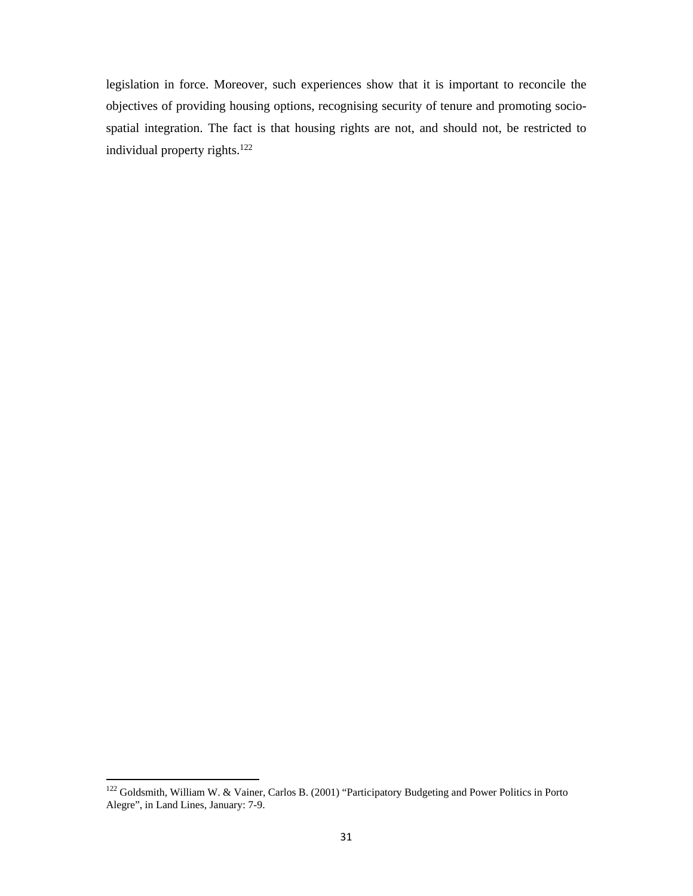legislation in force. Moreover, such experiences show that it is important to reconcile the objectives of providing housing options, recognising security of tenure and promoting sociospatial integration. The fact is that housing rights are not, and should not, be restricted to individual property rights.122

<sup>&</sup>lt;sup>122</sup> Goldsmith, William W. & Vainer, Carlos B. (2001) "Participatory Budgeting and Power Politics in Porto Alegre", in Land Lines, January: 7-9.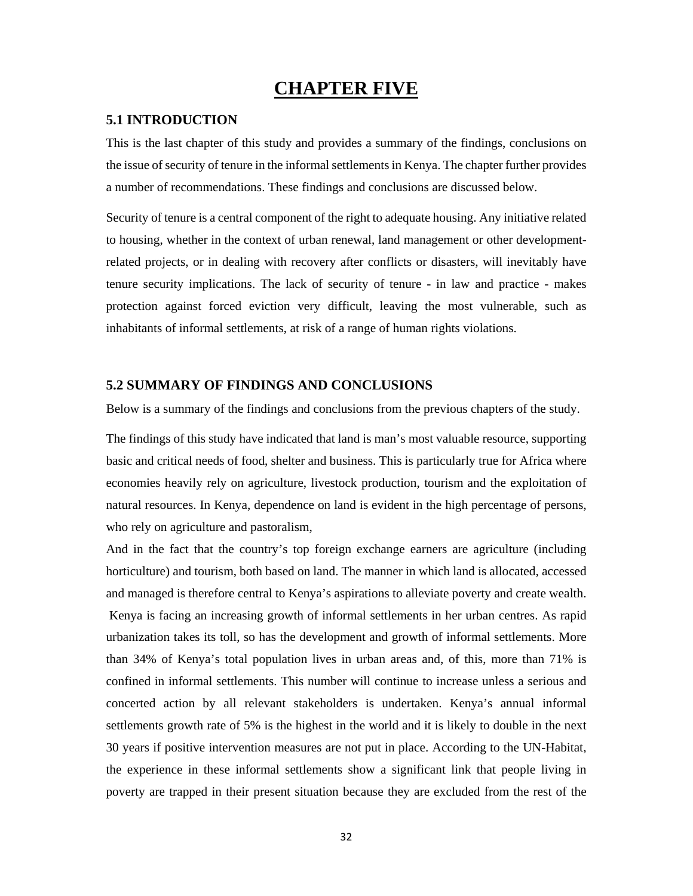## **CHAPTER FIVE**

#### **5.1 INTRODUCTION**

This is the last chapter of this study and provides a summary of the findings, conclusions on the issue of security of tenure in the informal settlements in Kenya. The chapter further provides a number of recommendations. These findings and conclusions are discussed below.

Security of tenure is a central component of the right to adequate housing. Any initiative related to housing, whether in the context of urban renewal, land management or other developmentrelated projects, or in dealing with recovery after conflicts or disasters, will inevitably have tenure security implications. The lack of security of tenure - in law and practice - makes protection against forced eviction very difficult, leaving the most vulnerable, such as inhabitants of informal settlements, at risk of a range of human rights violations.

### **5.2 SUMMARY OF FINDINGS AND CONCLUSIONS**

Below is a summary of the findings and conclusions from the previous chapters of the study.

The findings of this study have indicated that land is man's most valuable resource, supporting basic and critical needs of food, shelter and business. This is particularly true for Africa where economies heavily rely on agriculture, livestock production, tourism and the exploitation of natural resources. In Kenya, dependence on land is evident in the high percentage of persons, who rely on agriculture and pastoralism,

And in the fact that the country's top foreign exchange earners are agriculture (including horticulture) and tourism, both based on land. The manner in which land is allocated, accessed and managed is therefore central to Kenya's aspirations to alleviate poverty and create wealth. Kenya is facing an increasing growth of informal settlements in her urban centres. As rapid urbanization takes its toll, so has the development and growth of informal settlements. More than 34% of Kenya's total population lives in urban areas and, of this, more than 71% is confined in informal settlements. This number will continue to increase unless a serious and concerted action by all relevant stakeholders is undertaken. Kenya's annual informal settlements growth rate of 5% is the highest in the world and it is likely to double in the next 30 years if positive intervention measures are not put in place. According to the UN-Habitat, the experience in these informal settlements show a significant link that people living in poverty are trapped in their present situation because they are excluded from the rest of the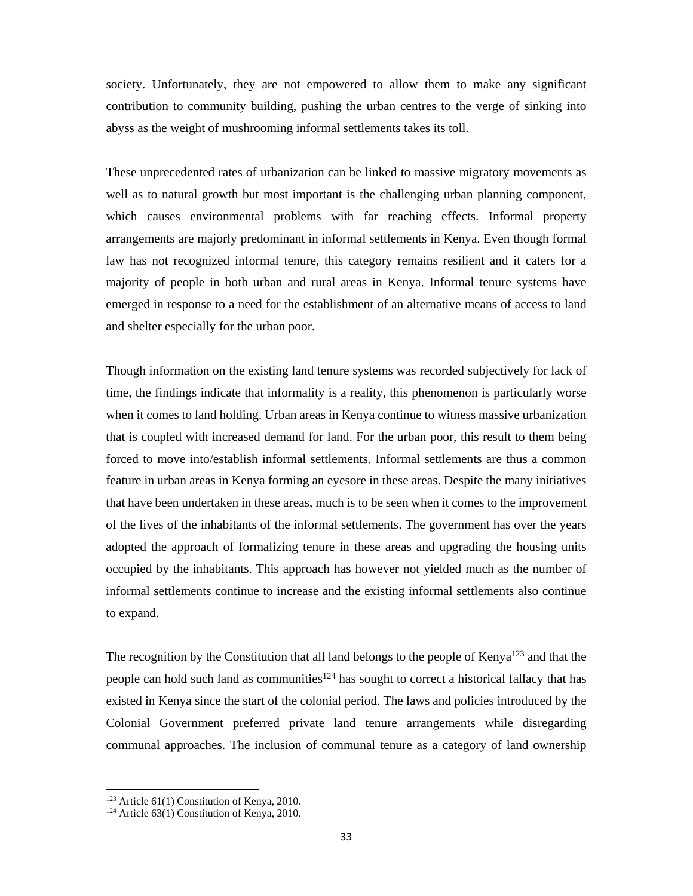society. Unfortunately, they are not empowered to allow them to make any significant contribution to community building, pushing the urban centres to the verge of sinking into abyss as the weight of mushrooming informal settlements takes its toll.

These unprecedented rates of urbanization can be linked to massive migratory movements as well as to natural growth but most important is the challenging urban planning component, which causes environmental problems with far reaching effects. Informal property arrangements are majorly predominant in informal settlements in Kenya. Even though formal law has not recognized informal tenure, this category remains resilient and it caters for a majority of people in both urban and rural areas in Kenya. Informal tenure systems have emerged in response to a need for the establishment of an alternative means of access to land and shelter especially for the urban poor.

Though information on the existing land tenure systems was recorded subjectively for lack of time, the findings indicate that informality is a reality, this phenomenon is particularly worse when it comes to land holding. Urban areas in Kenya continue to witness massive urbanization that is coupled with increased demand for land. For the urban poor, this result to them being forced to move into/establish informal settlements. Informal settlements are thus a common feature in urban areas in Kenya forming an eyesore in these areas. Despite the many initiatives that have been undertaken in these areas, much is to be seen when it comes to the improvement of the lives of the inhabitants of the informal settlements. The government has over the years adopted the approach of formalizing tenure in these areas and upgrading the housing units occupied by the inhabitants. This approach has however not yielded much as the number of informal settlements continue to increase and the existing informal settlements also continue to expand.

The recognition by the Constitution that all land belongs to the people of Kenya<sup>123</sup> and that the people can hold such land as communities<sup>124</sup> has sought to correct a historical fallacy that has existed in Kenya since the start of the colonial period. The laws and policies introduced by the Colonial Government preferred private land tenure arrangements while disregarding communal approaches. The inclusion of communal tenure as a category of land ownership

<sup>&</sup>lt;sup>123</sup> Article 61(1) Constitution of Kenya, 2010.<br><sup>124</sup> Article 63(1) Constitution of Kenya, 2010.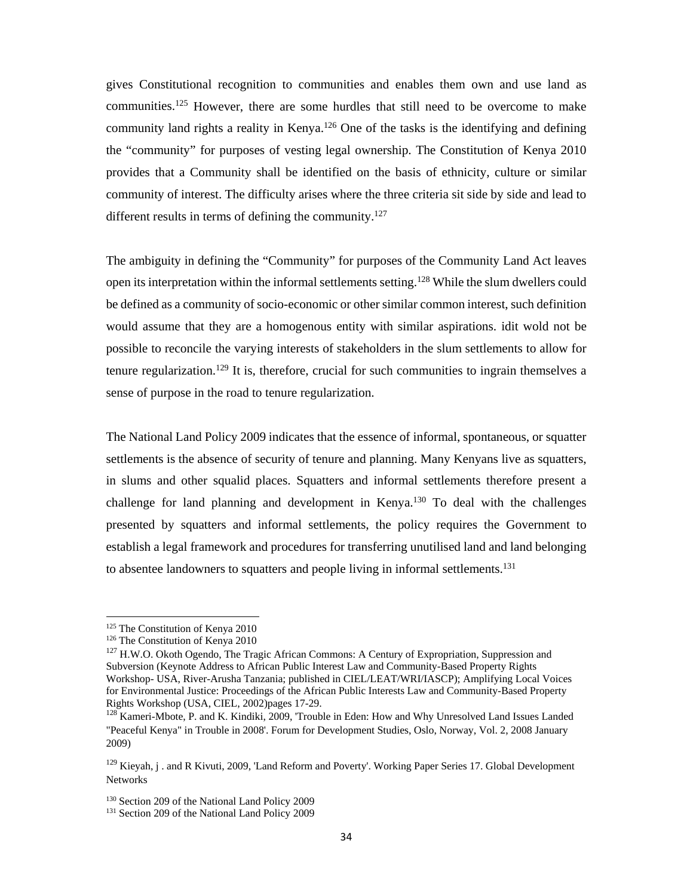gives Constitutional recognition to communities and enables them own and use land as communities.125 However, there are some hurdles that still need to be overcome to make community land rights a reality in Kenya.<sup>126</sup> One of the tasks is the identifying and defining the "community" for purposes of vesting legal ownership. The Constitution of Kenya 2010 provides that a Community shall be identified on the basis of ethnicity, culture or similar community of interest. The difficulty arises where the three criteria sit side by side and lead to different results in terms of defining the community.<sup>127</sup>

The ambiguity in defining the "Community" for purposes of the Community Land Act leaves open its interpretation within the informal settlements setting.<sup>128</sup> While the slum dwellers could be defined as a community of socio-economic or other similar common interest, such definition would assume that they are a homogenous entity with similar aspirations. idit wold not be possible to reconcile the varying interests of stakeholders in the slum settlements to allow for tenure regularization.<sup>129</sup> It is, therefore, crucial for such communities to ingrain themselves a sense of purpose in the road to tenure regularization.

The National Land Policy 2009 indicates that the essence of informal, spontaneous, or squatter settlements is the absence of security of tenure and planning. Many Kenyans live as squatters, in slums and other squalid places. Squatters and informal settlements therefore present a challenge for land planning and development in Kenya.<sup>130</sup> To deal with the challenges presented by squatters and informal settlements, the policy requires the Government to establish a legal framework and procedures for transferring unutilised land and land belonging to absentee landowners to squatters and people living in informal settlements.<sup>131</sup>

 <sup>125</sup> The Constitution of Kenya 2010<br><sup>126</sup> The Constitution of Kenya 2010

<sup>&</sup>lt;sup>127</sup> H.W.O. Okoth Ogendo, The Tragic African Commons: A Century of Expropriation, Suppression and Subversion (Keynote Address to African Public Interest Law and Community-Based Property Rights Workshop- USA, River-Arusha Tanzania; published in CIEL/LEAT/WRI/IASCP); Amplifying Local Voices for Environmental Justice: Proceedings of the African Public Interests Law and Community-Based Property Rights Workshop (USA, CIEL, 2002)pages 17-29.

<sup>&</sup>lt;sup>128</sup> Kameri-Mbote, P. and K. Kindiki, 2009, 'Trouble in Eden: How and Why Unresolved Land Issues Landed "Peaceful Kenya" in Trouble in 2008'. Forum for Development Studies, Oslo, Norway, Vol. 2, 2008 January 2009)

<sup>&</sup>lt;sup>129</sup> Kieyah, j. and R Kivuti, 2009, 'Land Reform and Poverty'. Working Paper Series 17. Global Development Networks

<sup>&</sup>lt;sup>130</sup> Section 209 of the National Land Policy 2009<br><sup>131</sup> Section 209 of the National Land Policy 2009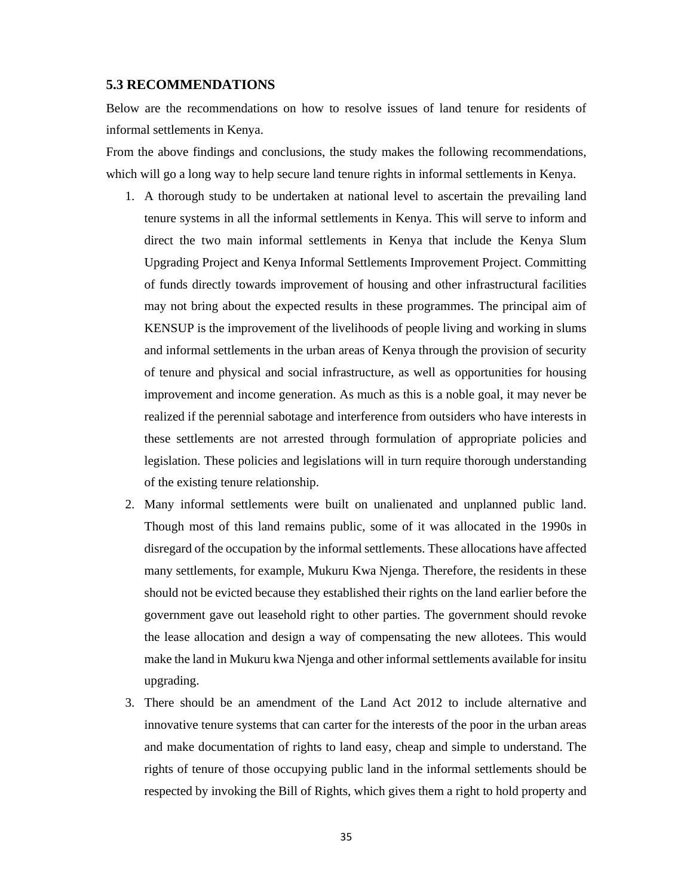#### **5.3 RECOMMENDATIONS**

Below are the recommendations on how to resolve issues of land tenure for residents of informal settlements in Kenya.

From the above findings and conclusions, the study makes the following recommendations, which will go a long way to help secure land tenure rights in informal settlements in Kenya.

- 1. A thorough study to be undertaken at national level to ascertain the prevailing land tenure systems in all the informal settlements in Kenya. This will serve to inform and direct the two main informal settlements in Kenya that include the Kenya Slum Upgrading Project and Kenya Informal Settlements Improvement Project. Committing of funds directly towards improvement of housing and other infrastructural facilities may not bring about the expected results in these programmes. The principal aim of KENSUP is the improvement of the livelihoods of people living and working in slums and informal settlements in the urban areas of Kenya through the provision of security of tenure and physical and social infrastructure, as well as opportunities for housing improvement and income generation. As much as this is a noble goal, it may never be realized if the perennial sabotage and interference from outsiders who have interests in these settlements are not arrested through formulation of appropriate policies and legislation. These policies and legislations will in turn require thorough understanding of the existing tenure relationship.
- 2. Many informal settlements were built on unalienated and unplanned public land. Though most of this land remains public, some of it was allocated in the 1990s in disregard of the occupation by the informal settlements. These allocations have affected many settlements, for example, Mukuru Kwa Njenga. Therefore, the residents in these should not be evicted because they established their rights on the land earlier before the government gave out leasehold right to other parties. The government should revoke the lease allocation and design a way of compensating the new allotees. This would make the land in Mukuru kwa Njenga and other informal settlements available for insitu upgrading.
- 3. There should be an amendment of the Land Act 2012 to include alternative and innovative tenure systems that can carter for the interests of the poor in the urban areas and make documentation of rights to land easy, cheap and simple to understand. The rights of tenure of those occupying public land in the informal settlements should be respected by invoking the Bill of Rights, which gives them a right to hold property and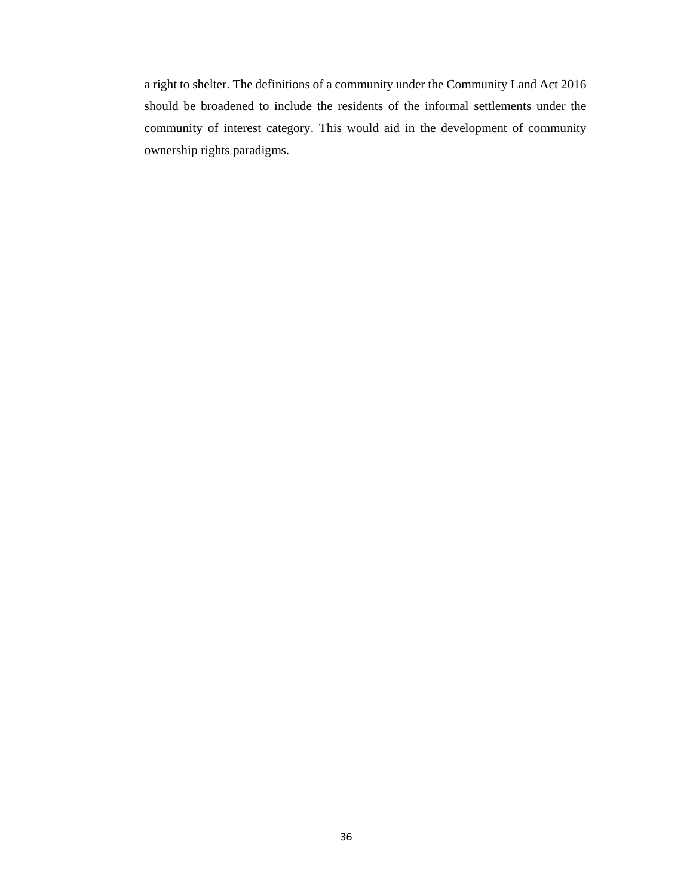a right to shelter. The definitions of a community under the Community Land Act 2016 should be broadened to include the residents of the informal settlements under the community of interest category. This would aid in the development of community ownership rights paradigms.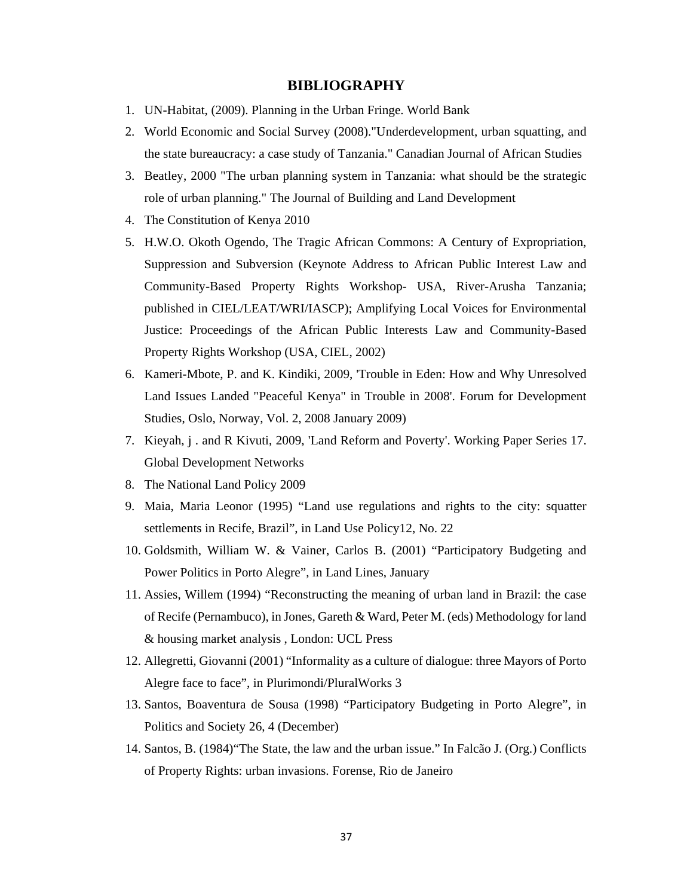### **BIBLIOGRAPHY**

- 1. UN-Habitat, (2009). Planning in the Urban Fringe. World Bank
- 2. World Economic and Social Survey (2008)."Underdevelopment, urban squatting, and the state bureaucracy: a case study of Tanzania." Canadian Journal of African Studies
- 3. Beatley, 2000 "The urban planning system in Tanzania: what should be the strategic role of urban planning." The Journal of Building and Land Development
- 4. The Constitution of Kenya 2010
- 5. H.W.O. Okoth Ogendo, The Tragic African Commons: A Century of Expropriation, Suppression and Subversion (Keynote Address to African Public Interest Law and Community-Based Property Rights Workshop- USA, River-Arusha Tanzania; published in CIEL/LEAT/WRI/IASCP); Amplifying Local Voices for Environmental Justice: Proceedings of the African Public Interests Law and Community-Based Property Rights Workshop (USA, CIEL, 2002)
- 6. Kameri-Mbote, P. and K. Kindiki, 2009, 'Trouble in Eden: How and Why Unresolved Land Issues Landed "Peaceful Kenya" in Trouble in 2008'. Forum for Development Studies, Oslo, Norway, Vol. 2, 2008 January 2009)
- 7. Kieyah, j . and R Kivuti, 2009, 'Land Reform and Poverty'. Working Paper Series 17. Global Development Networks
- 8. The National Land Policy 2009
- 9. Maia, Maria Leonor (1995) "Land use regulations and rights to the city: squatter settlements in Recife, Brazil", in Land Use Policy12, No. 22
- 10. Goldsmith, William W. & Vainer, Carlos B. (2001) "Participatory Budgeting and Power Politics in Porto Alegre", in Land Lines, January
- 11. Assies, Willem (1994) "Reconstructing the meaning of urban land in Brazil: the case of Recife (Pernambuco), in Jones, Gareth & Ward, Peter M. (eds) Methodology for land & housing market analysis , London: UCL Press
- 12. Allegretti, Giovanni (2001) "Informality as a culture of dialogue: three Mayors of Porto Alegre face to face", in Plurimondi/PluralWorks 3
- 13. Santos, Boaventura de Sousa (1998) "Participatory Budgeting in Porto Alegre", in Politics and Society 26, 4 (December)
- 14. Santos, B. (1984)"The State, the law and the urban issue." In Falcão J. (Org.) Conflicts of Property Rights: urban invasions. Forense, Rio de Janeiro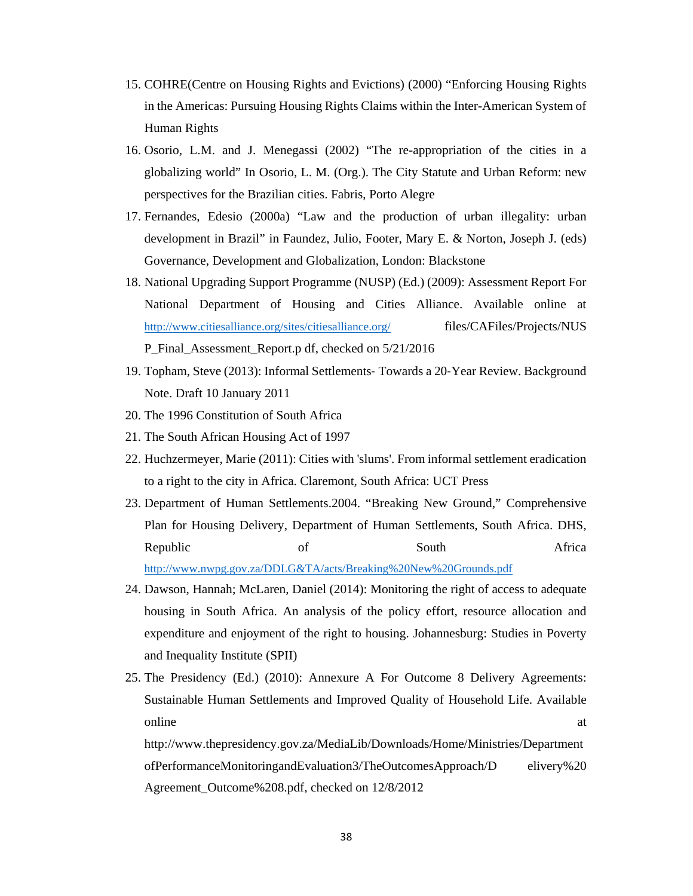- 15. COHRE(Centre on Housing Rights and Evictions) (2000) "Enforcing Housing Rights in the Americas: Pursuing Housing Rights Claims within the Inter-American System of Human Rights
- 16. Osorio, L.M. and J. Menegassi (2002) "The re-appropriation of the cities in a globalizing world" In Osorio, L. M. (Org.). The City Statute and Urban Reform: new perspectives for the Brazilian cities. Fabris, Porto Alegre
- 17. Fernandes, Edesio (2000a) "Law and the production of urban illegality: urban development in Brazil" in Faundez, Julio, Footer, Mary E. & Norton, Joseph J. (eds) Governance, Development and Globalization, London: Blackstone
- 18. National Upgrading Support Programme (NUSP) (Ed.) (2009): Assessment Report For National Department of Housing and Cities Alliance. Available online at http://www.citiesalliance.org/sites/citiesalliance.org/ files/CAFiles/Projects/NUS P\_Final\_Assessment\_Report.p df, checked on 5/21/2016
- 19. Topham, Steve (2013): Informal Settlements‐ Towards a 20‐Year Review. Background Note. Draft 10 January 2011
- 20. The 1996 Constitution of South Africa
- 21. The South African Housing Act of 1997
- 22. Huchzermeyer, Marie (2011): Cities with 'slums'. From informal settlement eradication to a right to the city in Africa. Claremont, South Africa: UCT Press
- 23. Department of Human Settlements.2004. "Breaking New Ground," Comprehensive Plan for Housing Delivery, Department of Human Settlements, South Africa. DHS, Republic of South Africa http://www.nwpg.gov.za/DDLG&TA/acts/Breaking%20New%20Grounds.pdf
- 24. Dawson, Hannah; McLaren, Daniel (2014): Monitoring the right of access to adequate housing in South Africa. An analysis of the policy effort, resource allocation and expenditure and enjoyment of the right to housing. Johannesburg: Studies in Poverty and Inequality Institute (SPII)
- 25. The Presidency (Ed.) (2010): Annexure A For Outcome 8 Delivery Agreements: Sustainable Human Settlements and Improved Quality of Household Life. Available online at a state of  $\alpha$  at a state of  $\alpha$  at a state of  $\alpha$  at a state of  $\alpha$  at a state of  $\alpha$  at a state of  $\alpha$  at a state of  $\alpha$  at a state of  $\alpha$  at a state of  $\alpha$  at a state of  $\alpha$  at a state of  $\alpha$  at a s

http://www.thepresidency.gov.za/MediaLib/Downloads/Home/Ministries/Department ofPerformanceMonitoringandEvaluation3/TheOutcomesApproach/D elivery%20 Agreement\_Outcome%208.pdf, checked on 12/8/2012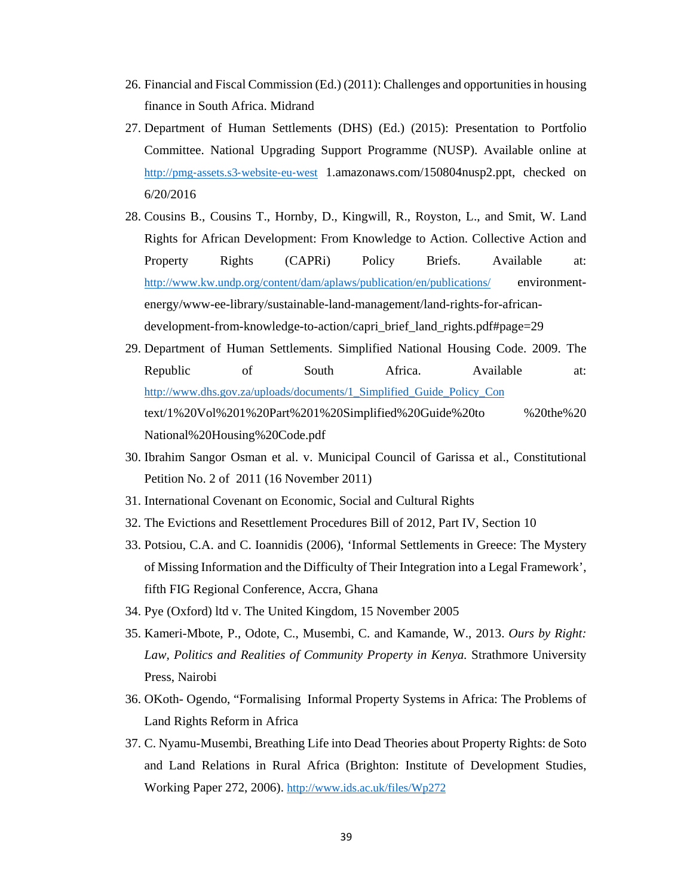- 26. Financial and Fiscal Commission (Ed.) (2011): Challenges and opportunities in housing finance in South Africa. Midrand
- 27. Department of Human Settlements (DHS) (Ed.) (2015): Presentation to Portfolio Committee. National Upgrading Support Programme (NUSP). Available online at http://pmg-assets.s3-website-eu-west 1.amazonaws.com/150804nusp2.ppt, checked on 6/20/2016
- 28. Cousins B., Cousins T., Hornby, D., Kingwill, R., Royston, L., and Smit, W. Land Rights for African Development: From Knowledge to Action. Collective Action and Property Rights (CAPRi) Policy Briefs. Available at: http://www.kw.undp.org/content/dam/aplaws/publication/en/publications/ environmentenergy/www-ee-library/sustainable-land-management/land-rights-for-africandevelopment-from-knowledge-to-action/capri\_brief\_land\_rights.pdf#page=29
- 29. Department of Human Settlements. Simplified National Housing Code. 2009. The Republic of South Africa. Available at: http://www.dhs.gov.za/uploads/documents/1\_Simplified\_Guide\_Policy\_Con text/1%20Vol%201%20Part%201%20Simplified%20Guide%20to %20the%20 National%20Housing%20Code.pdf
- 30. Ibrahim Sangor Osman et al. v. Municipal Council of Garissa et al., Constitutional Petition No. 2 of 2011 (16 November 2011)
- 31. International Covenant on Economic, Social and Cultural Rights
- 32. The Evictions and Resettlement Procedures Bill of 2012, Part IV, Section 10
- 33. Potsiou, C.A. and C. Ioannidis (2006), 'Informal Settlements in Greece: The Mystery of Missing Information and the Difficulty of Their Integration into a Legal Framework', fifth FIG Regional Conference, Accra, Ghana
- 34. Pye (Oxford) ltd v. The United Kingdom, 15 November 2005
- 35. Kameri-Mbote, P., Odote, C., Musembi, C. and Kamande, W., 2013. *Ours by Right:*  Law, Politics and Realities of Community Property in Kenya. Strathmore University Press, Nairobi
- 36. OKoth- Ogendo, "Formalising Informal Property Systems in Africa: The Problems of Land Rights Reform in Africa
- 37. C. Nyamu-Musembi, Breathing Life into Dead Theories about Property Rights: de Soto and Land Relations in Rural Africa (Brighton: Institute of Development Studies, Working Paper 272, 2006). http://www.ids.ac.uk/files/Wp272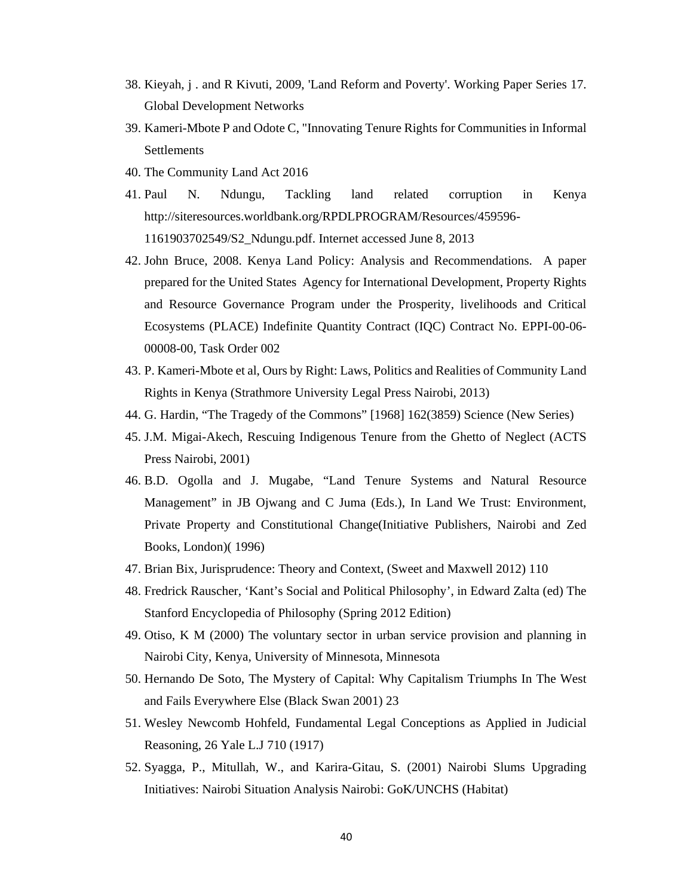- 38. Kieyah, j . and R Kivuti, 2009, 'Land Reform and Poverty'. Working Paper Series 17. Global Development Networks
- 39. Kameri-Mbote P and Odote C, "Innovating Tenure Rights for Communities in Informal Settlements
- 40. The Community Land Act 2016
- 41. Paul N. Ndungu, Tackling land related corruption in Kenya http://siteresources.worldbank.org/RPDLPROGRAM/Resources/459596- 1161903702549/S2\_Ndungu.pdf. Internet accessed June 8, 2013
- 42. John Bruce, 2008. Kenya Land Policy: Analysis and Recommendations. A paper prepared for the United States Agency for International Development, Property Rights and Resource Governance Program under the Prosperity, livelihoods and Critical Ecosystems (PLACE) Indefinite Quantity Contract (IQC) Contract No. EPPI-00-06- 00008-00, Task Order 002
- 43. P. Kameri-Mbote et al, Ours by Right: Laws, Politics and Realities of Community Land Rights in Kenya (Strathmore University Legal Press Nairobi, 2013)
- 44. G. Hardin, "The Tragedy of the Commons" [1968] 162(3859) Science (New Series)
- 45. J.M. Migai-Akech, Rescuing Indigenous Tenure from the Ghetto of Neglect (ACTS Press Nairobi, 2001)
- 46. B.D. Ogolla and J. Mugabe, "Land Tenure Systems and Natural Resource Management" in JB Ojwang and C Juma (Eds.), In Land We Trust: Environment, Private Property and Constitutional Change(Initiative Publishers, Nairobi and Zed Books, London)( 1996)
- 47. Brian Bix, Jurisprudence: Theory and Context, (Sweet and Maxwell 2012) 110
- 48. Fredrick Rauscher, 'Kant's Social and Political Philosophy', in Edward Zalta (ed) The Stanford Encyclopedia of Philosophy (Spring 2012 Edition)
- 49. Otiso, K M (2000) The voluntary sector in urban service provision and planning in Nairobi City, Kenya, University of Minnesota, Minnesota
- 50. Hernando De Soto, The Mystery of Capital: Why Capitalism Triumphs In The West and Fails Everywhere Else (Black Swan 2001) 23
- 51. Wesley Newcomb Hohfeld, Fundamental Legal Conceptions as Applied in Judicial Reasoning, 26 Yale L.J 710 (1917)
- 52. Syagga, P., Mitullah, W., and Karira-Gitau, S. (2001) Nairobi Slums Upgrading Initiatives: Nairobi Situation Analysis Nairobi: GoK/UNCHS (Habitat)